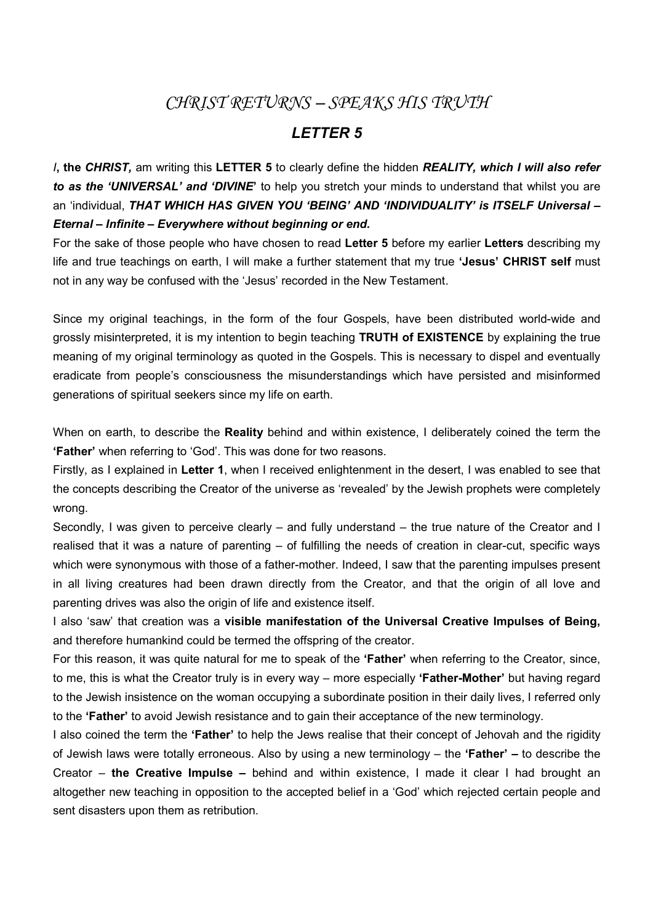# *CHRIST RETURNS – SPEAKS HIS TRUTH*

# *LETTER 5*

*I***, the** *CHRIST,* am writing this **LETTER 5** to clearly define the hidden *REALITY, which I will also refer to as the 'UNIVERSAL' and 'DIVINE***'** to help you stretch your minds to understand that whilst you are an 'individual, *THAT WHICH HAS GIVEN YOU 'BEING' AND 'INDIVIDUALITY' is ITSELF Universal – Eternal – Infinite – Everywhere without beginning or end.* 

For the sake of those people who have chosen to read **Letter 5** before my earlier **Letters** describing my life and true teachings on earth, I will make a further statement that my true **'Jesus' CHRIST self** must not in any way be confused with the 'Jesus' recorded in the New Testament.

Since my original teachings, in the form of the four Gospels, have been distributed world-wide and grossly misinterpreted, it is my intention to begin teaching **TRUTH of EXISTENCE** by explaining the true meaning of my original terminology as quoted in the Gospels. This is necessary to dispel and eventually eradicate from people's consciousness the misunderstandings which have persisted and misinformed generations of spiritual seekers since my life on earth.

When on earth, to describe the **Reality** behind and within existence, I deliberately coined the term the **'Father'** when referring to 'God'. This was done for two reasons.

Firstly, as I explained in **Letter 1**, when I received enlightenment in the desert, I was enabled to see that the concepts describing the Creator of the universe as 'revealed' by the Jewish prophets were completely wrong.

Secondly, I was given to perceive clearly – and fully understand – the true nature of the Creator and I realised that it was a nature of parenting – of fulfilling the needs of creation in clear-cut, specific ways which were synonymous with those of a father-mother. Indeed, I saw that the parenting impulses present in all living creatures had been drawn directly from the Creator, and that the origin of all love and parenting drives was also the origin of life and existence itself.

I also 'saw' that creation was a **visible manifestation of the Universal Creative Impulses of Being,**  and therefore humankind could be termed the offspring of the creator.

For this reason, it was quite natural for me to speak of the **'Father'** when referring to the Creator, since, to me, this is what the Creator truly is in every way – more especially **'Father-Mother'** but having regard to the Jewish insistence on the woman occupying a subordinate position in their daily lives, I referred only to the **'Father'** to avoid Jewish resistance and to gain their acceptance of the new terminology.

I also coined the term the **'Father'** to help the Jews realise that their concept of Jehovah and the rigidity of Jewish laws were totally erroneous. Also by using a new terminology – the **'Father' –** to describe the Creator – **the Creative Impulse –** behind and within existence, I made it clear I had brought an altogether new teaching in opposition to the accepted belief in a 'God' which rejected certain people and sent disasters upon them as retribution.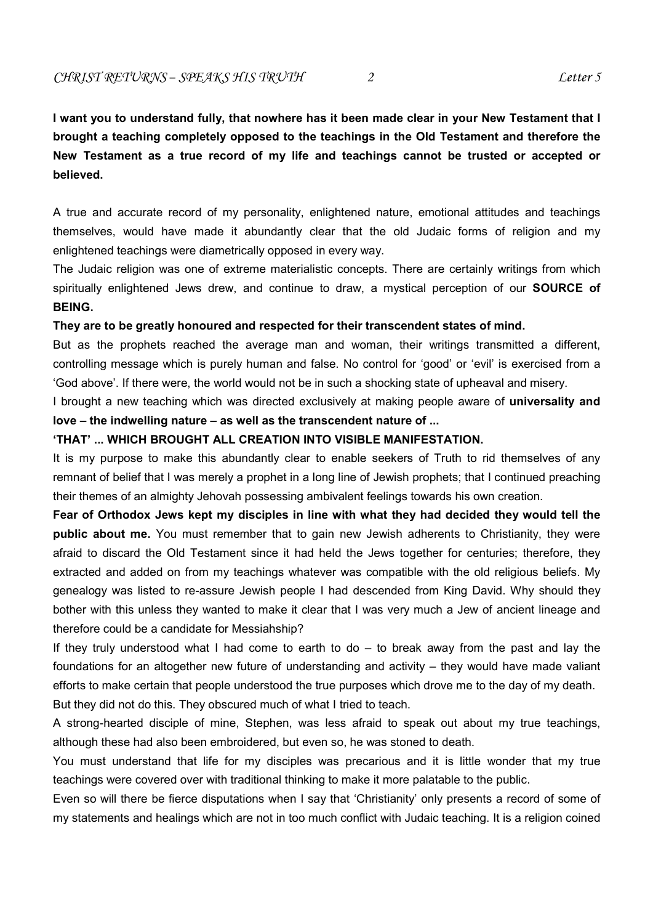**I want you to understand fully, that nowhere has it been made clear in your New Testament that I brought a teaching completely opposed to the teachings in the Old Testament and therefore the New Testament as a true record of my life and teachings cannot be trusted or accepted or believed.** 

A true and accurate record of my personality, enlightened nature, emotional attitudes and teachings themselves, would have made it abundantly clear that the old Judaic forms of religion and my enlightened teachings were diametrically opposed in every way.

The Judaic religion was one of extreme materialistic concepts. There are certainly writings from which spiritually enlightened Jews drew, and continue to draw, a mystical perception of our **SOURCE of BEING.**

#### **They are to be greatly honoured and respected for their transcendent states of mind.**

But as the prophets reached the average man and woman, their writings transmitted a different, controlling message which is purely human and false. No control for 'good' or 'evil' is exercised from a 'God above'. If there were, the world would not be in such a shocking state of upheaval and misery.

I brought a new teaching which was directed exclusively at making people aware of **universality and love – the indwelling nature – as well as the transcendent nature of ...**

### **'THAT' ... WHICH BROUGHT ALL CREATION INTO VISIBLE MANIFESTATION.**

It is my purpose to make this abundantly clear to enable seekers of Truth to rid themselves of any remnant of belief that I was merely a prophet in a long line of Jewish prophets; that I continued preaching their themes of an almighty Jehovah possessing ambivalent feelings towards his own creation.

**Fear of Orthodox Jews kept my disciples in line with what they had decided they would tell the public about me.** You must remember that to gain new Jewish adherents to Christianity, they were afraid to discard the Old Testament since it had held the Jews together for centuries; therefore, they extracted and added on from my teachings whatever was compatible with the old religious beliefs. My genealogy was listed to re-assure Jewish people I had descended from King David. Why should they bother with this unless they wanted to make it clear that I was very much a Jew of ancient lineage and therefore could be a candidate for Messiahship?

If they truly understood what I had come to earth to  $d_0 - d_0$  break away from the past and lay the foundations for an altogether new future of understanding and activity – they would have made valiant efforts to make certain that people understood the true purposes which drove me to the day of my death.

But they did not do this. They obscured much of what I tried to teach.

A strong-hearted disciple of mine, Stephen, was less afraid to speak out about my true teachings, although these had also been embroidered, but even so, he was stoned to death.

You must understand that life for my disciples was precarious and it is little wonder that my true teachings were covered over with traditional thinking to make it more palatable to the public.

Even so will there be fierce disputations when I say that 'Christianity' only presents a record of some of my statements and healings which are not in too much conflict with Judaic teaching. It is a religion coined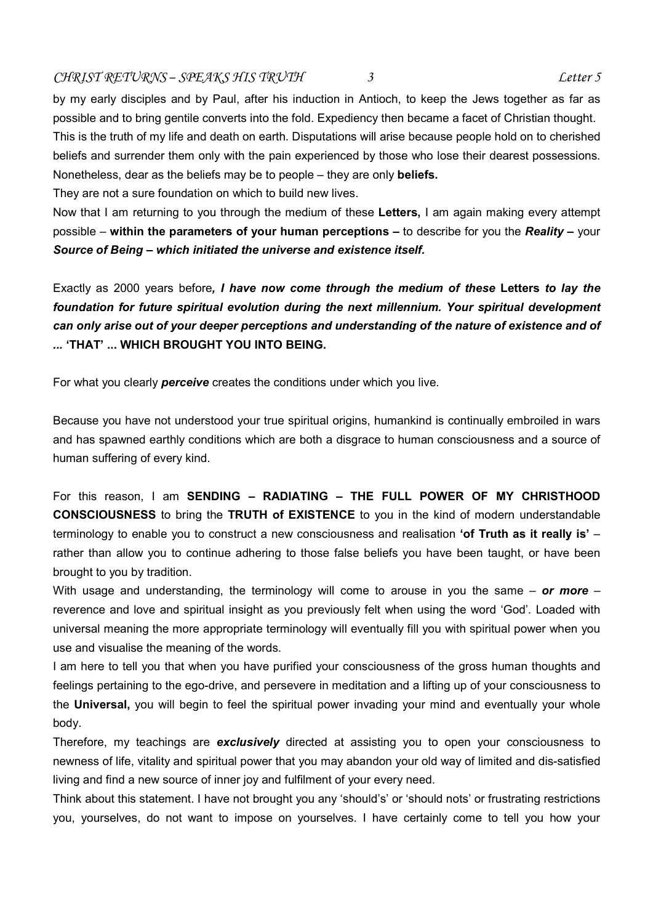# *CHRIST RETURNS* – *SPEAKS HIS TRUTH 3 Letter 5*

by my early disciples and by Paul, after his induction in Antioch, to keep the Jews together as far as possible and to bring gentile converts into the fold. Expediency then became a facet of Christian thought. This is the truth of my life and death on earth. Disputations will arise because people hold on to cherished beliefs and surrender them only with the pain experienced by those who lose their dearest possessions. Nonetheless, dear as the beliefs may be to people – they are only **beliefs.**

They are not a sure foundation on which to build new lives.

Now that I am returning to you through the medium of these **Letters,** I am again making every attempt possible – **within the parameters of your human perceptions –** to describe for you the *Reality –* your *Source of Being – which initiated the universe and existence itself.* 

Exactly as 2000 years before*, I have now come through the medium of these* **Letters** *to lay the foundation for future spiritual evolution during the next millennium. Your spiritual development can only arise out of your deeper perceptions and understanding of the nature of existence and of ...* **'THAT' ... WHICH BROUGHT YOU INTO BEING.** 

For what you clearly *perceive* creates the conditions under which you live.

Because you have not understood your true spiritual origins, humankind is continually embroiled in wars and has spawned earthly conditions which are both a disgrace to human consciousness and a source of human suffering of every kind.

For this reason, I am **SENDING – RADIATING – THE FULL POWER OF MY CHRISTHOOD CONSCIOUSNESS** to bring the **TRUTH of EXISTENCE** to you in the kind of modern understandable terminology to enable you to construct a new consciousness and realisation **'of Truth as it really is'** – rather than allow you to continue adhering to those false beliefs you have been taught, or have been brought to you by tradition.

With usage and understanding, the terminology will come to arouse in you the same – *or more* – reverence and love and spiritual insight as you previously felt when using the word 'God'. Loaded with universal meaning the more appropriate terminology will eventually fill you with spiritual power when you use and visualise the meaning of the words.

I am here to tell you that when you have purified your consciousness of the gross human thoughts and feelings pertaining to the ego-drive, and persevere in meditation and a lifting up of your consciousness to the **Universal,** you will begin to feel the spiritual power invading your mind and eventually your whole body.

Therefore, my teachings are *exclusively* directed at assisting you to open your consciousness to newness of life, vitality and spiritual power that you may abandon your old way of limited and dis-satisfied living and find a new source of inner joy and fulfilment of your every need.

Think about this statement. I have not brought you any 'should's' or 'should nots' or frustrating restrictions you, yourselves, do not want to impose on yourselves. I have certainly come to tell you how your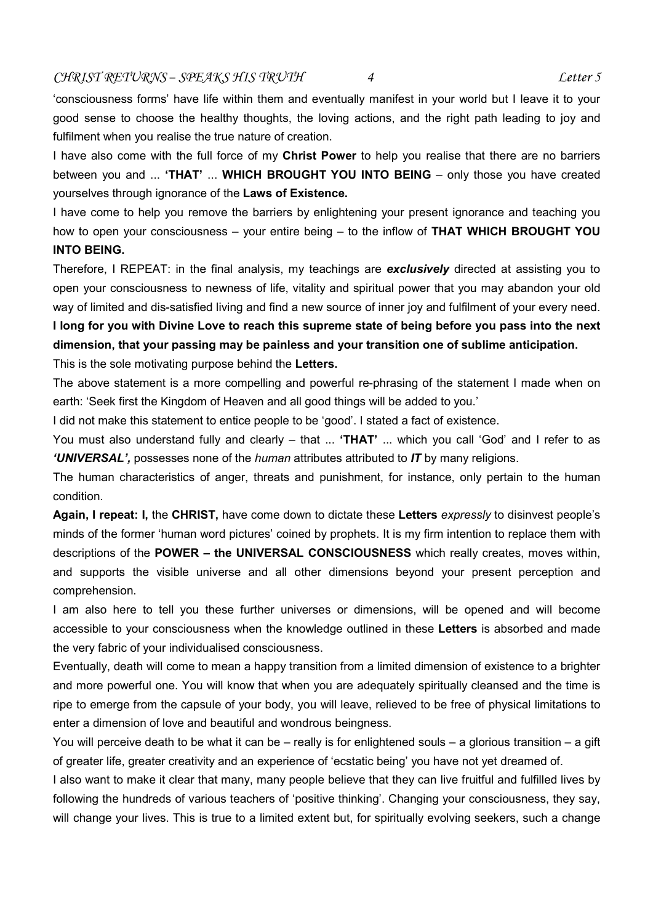### *CHRIST RETURNS* – *SPEAKS HIS TRUTH 4 Letter 5*

'consciousness forms' have life within them and eventually manifest in your world but I leave it to your good sense to choose the healthy thoughts, the loving actions, and the right path leading to joy and fulfilment when you realise the true nature of creation.

I have also come with the full force of my **Christ Power** to help you realise that there are no barriers between you and ... **'THAT'** ... **WHICH BROUGHT YOU INTO BEING** – only those you have created yourselves through ignorance of the **Laws of Existence.**

I have come to help you remove the barriers by enlightening your present ignorance and teaching you how to open your consciousness – your entire being – to the inflow of **THAT WHICH BROUGHT YOU INTO BEING.**

Therefore, I REPEAT: in the final analysis, my teachings are *exclusively* directed at assisting you to open your consciousness to newness of life, vitality and spiritual power that you may abandon your old way of limited and dis-satisfied living and find a new source of inner joy and fulfilment of your every need. **I long for you with Divine Love to reach this supreme state of being before you pass into the next dimension, that your passing may be painless and your transition one of sublime anticipation.** This is the sole motivating purpose behind the **Letters.** 

The above statement is a more compelling and powerful re-phrasing of the statement I made when on earth: 'Seek first the Kingdom of Heaven and all good things will be added to you.'

I did not make this statement to entice people to be 'good'. I stated a fact of existence.

You must also understand fully and clearly – that ... **'THAT'** ... which you call 'God' and I refer to as *'UNIVERSAL',* possesses none of the *human* attributes attributed to *IT* by many religions.

The human characteristics of anger, threats and punishment, for instance, only pertain to the human condition.

**Again, I repeat: I,** the **CHRIST,** have come down to dictate these **Letters** *expressly* to disinvest people's minds of the former 'human word pictures' coined by prophets. It is my firm intention to replace them with descriptions of the **POWER – the UNIVERSAL CONSCIOUSNESS** which really creates, moves within, and supports the visible universe and all other dimensions beyond your present perception and comprehension.

I am also here to tell you these further universes or dimensions, will be opened and will become accessible to your consciousness when the knowledge outlined in these **Letters** is absorbed and made the very fabric of your individualised consciousness.

Eventually, death will come to mean a happy transition from a limited dimension of existence to a brighter and more powerful one. You will know that when you are adequately spiritually cleansed and the time is ripe to emerge from the capsule of your body, you will leave, relieved to be free of physical limitations to enter a dimension of love and beautiful and wondrous beingness.

You will perceive death to be what it can be – really is for enlightened souls – a glorious transition – a gift of greater life, greater creativity and an experience of 'ecstatic being' you have not yet dreamed of.

I also want to make it clear that many, many people believe that they can live fruitful and fulfilled lives by following the hundreds of various teachers of 'positive thinking'. Changing your consciousness, they say, will change your lives. This is true to a limited extent but, for spiritually evolving seekers, such a change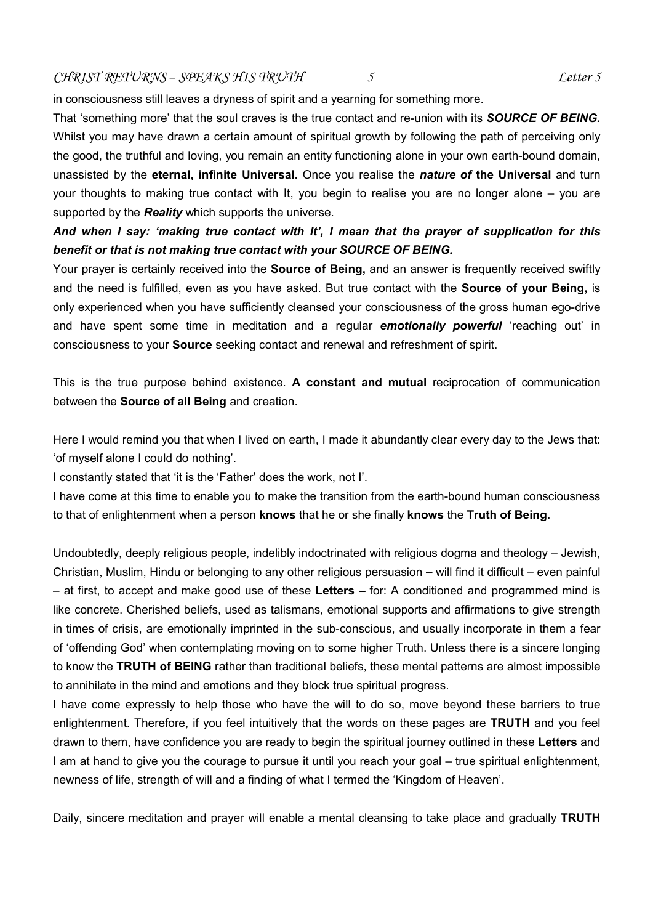# *CHRIST RETURNS* – *SPEAKS HIS TRUTH 5 Letter 5*

in consciousness still leaves a dryness of spirit and a yearning for something more.

That 'something more' that the soul craves is the true contact and re-union with its *SOURCE OF BEING.*  Whilst you may have drawn a certain amount of spiritual growth by following the path of perceiving only the good, the truthful and loving, you remain an entity functioning alone in your own earth-bound domain, unassisted by the **eternal, infinite Universal.** Once you realise the *nature of* **the Universal** and turn your thoughts to making true contact with It, you begin to realise you are no longer alone – you are supported by the *Reality* which supports the universe.

# *And when I say: 'making true contact with It', I mean that the prayer of supplication for this benefit or that is not making true contact with your SOURCE OF BEING.*

Your prayer is certainly received into the **Source of Being,** and an answer is frequently received swiftly and the need is fulfilled, even as you have asked. But true contact with the **Source of your Being,** is only experienced when you have sufficiently cleansed your consciousness of the gross human ego-drive and have spent some time in meditation and a regular *emotionally powerful* 'reaching out' in consciousness to your **Source** seeking contact and renewal and refreshment of spirit.

This is the true purpose behind existence. **A constant and mutual** reciprocation of communication between the **Source of all Being** and creation.

Here I would remind you that when I lived on earth, I made it abundantly clear every day to the Jews that: 'of myself alone I could do nothing'.

I constantly stated that 'it is the 'Father' does the work, not I'.

I have come at this time to enable you to make the transition from the earth-bound human consciousness to that of enlightenment when a person **knows** that he or she finally **knows** the **Truth of Being.** 

Undoubtedly, deeply religious people, indelibly indoctrinated with religious dogma and theology – Jewish, Christian, Muslim, Hindu or belonging to any other religious persuasion **–** will find it difficult – even painful – at first, to accept and make good use of these **Letters –** for: A conditioned and programmed mind is like concrete. Cherished beliefs, used as talismans, emotional supports and affirmations to give strength in times of crisis, are emotionally imprinted in the sub-conscious, and usually incorporate in them a fear of 'offending God' when contemplating moving on to some higher Truth. Unless there is a sincere longing to know the **TRUTH of BEING** rather than traditional beliefs, these mental patterns are almost impossible to annihilate in the mind and emotions and they block true spiritual progress.

I have come expressly to help those who have the will to do so, move beyond these barriers to true enlightenment. Therefore, if you feel intuitively that the words on these pages are **TRUTH** and you feel drawn to them, have confidence you are ready to begin the spiritual journey outlined in these **Letters** and I am at hand to give you the courage to pursue it until you reach your goal – true spiritual enlightenment, newness of life, strength of will and a finding of what I termed the 'Kingdom of Heaven'.

Daily, sincere meditation and prayer will enable a mental cleansing to take place and gradually **TRUTH**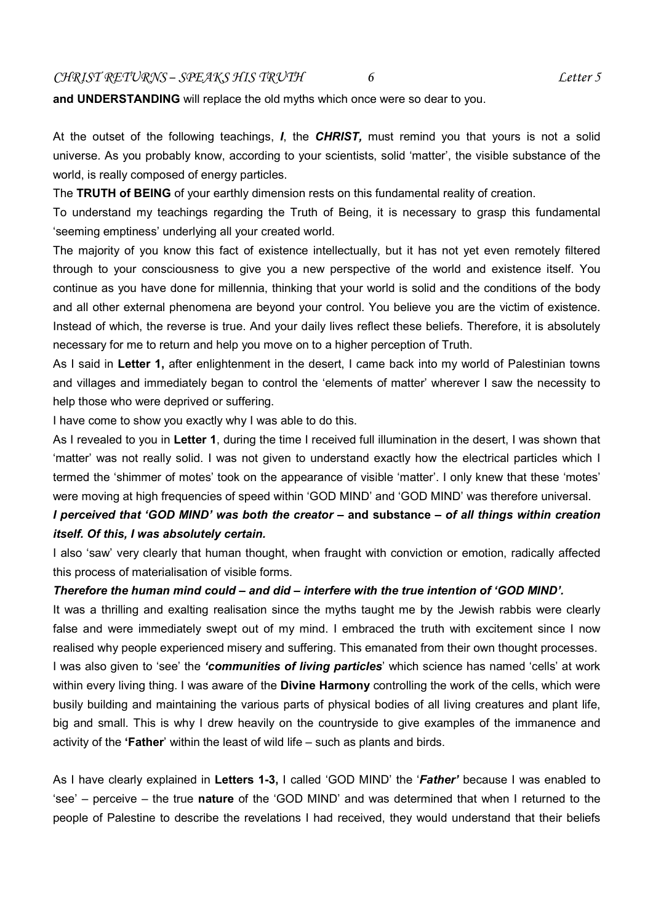### *CHRIST RETURNS* – *SPEAKS HIS TRUTH 6 Letter 5*

**and UNDERSTANDING** will replace the old myths which once were so dear to you.

At the outset of the following teachings, *I*, the *CHRIST,* must remind you that yours is not a solid universe. As you probably know, according to your scientists, solid 'matter', the visible substance of the world, is really composed of energy particles.

The **TRUTH of BEING** of your earthly dimension rests on this fundamental reality of creation.

To understand my teachings regarding the Truth of Being, it is necessary to grasp this fundamental 'seeming emptiness' underlying all your created world.

The majority of you know this fact of existence intellectually, but it has not yet even remotely filtered through to your consciousness to give you a new perspective of the world and existence itself. You continue as you have done for millennia, thinking that your world is solid and the conditions of the body and all other external phenomena are beyond your control. You believe you are the victim of existence. Instead of which, the reverse is true. And your daily lives reflect these beliefs. Therefore, it is absolutely necessary for me to return and help you move on to a higher perception of Truth.

As I said in **Letter 1,** after enlightenment in the desert, I came back into my world of Palestinian towns and villages and immediately began to control the 'elements of matter' wherever I saw the necessity to help those who were deprived or suffering.

I have come to show you exactly why I was able to do this.

As I revealed to you in **Letter 1**, during the time I received full illumination in the desert, I was shown that 'matter' was not really solid. I was not given to understand exactly how the electrical particles which I termed the 'shimmer of motes' took on the appearance of visible 'matter'. I only knew that these 'motes' were moving at high frequencies of speed within 'GOD MIND' and 'GOD MIND' was therefore universal.

# *I perceived that 'GOD MIND' was both the creator –* **and substance** *– of all things within creation itself. Of this, I was absolutely certain.*

I also 'saw' very clearly that human thought, when fraught with conviction or emotion, radically affected this process of materialisation of visible forms.

### *Therefore the human mind could – and did – interfere with the true intention of 'GOD MIND'.*

It was a thrilling and exalting realisation since the myths taught me by the Jewish rabbis were clearly false and were immediately swept out of my mind. I embraced the truth with excitement since I now realised why people experienced misery and suffering. This emanated from their own thought processes. I was also given to 'see' the *'communities of living particles*' which science has named 'cells' at work within every living thing. I was aware of the **Divine Harmony** controlling the work of the cells, which were busily building and maintaining the various parts of physical bodies of all living creatures and plant life, big and small. This is why I drew heavily on the countryside to give examples of the immanence and activity of the **'Father**' within the least of wild life – such as plants and birds.

As I have clearly explained in **Letters 1-3,** I called 'GOD MIND' the '*Father'* because I was enabled to 'see' – perceive – the true **nature** of the 'GOD MIND' and was determined that when I returned to the people of Palestine to describe the revelations I had received, they would understand that their beliefs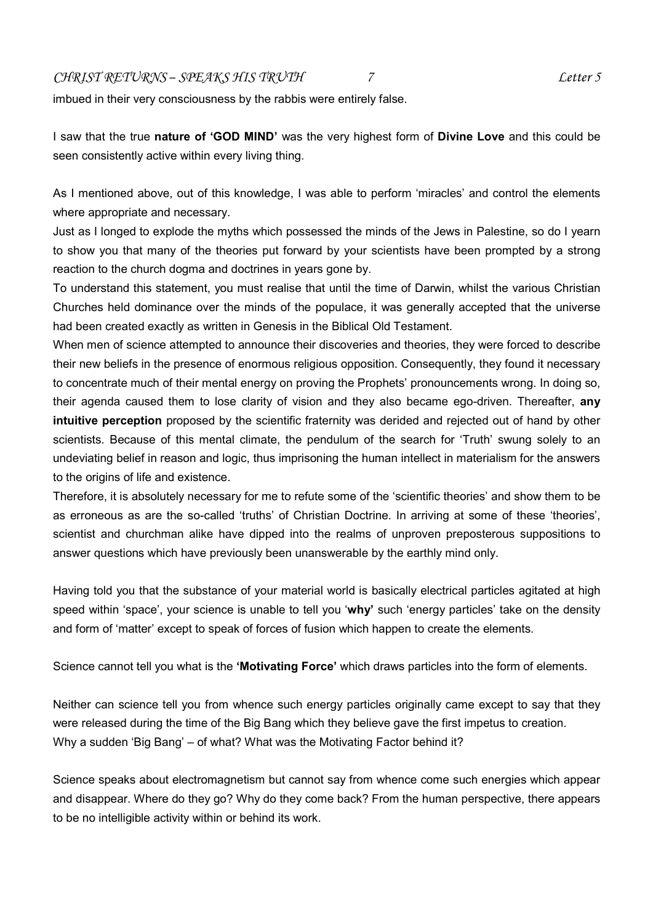### *CHRIST RETURNS* – *SPEAKS HIS TRUTH 7 Letter 5*

imbued in their very consciousness by the rabbis were entirely false.

I saw that the true **nature of 'GOD MIND'** was the very highest form of **Divine Love** and this could be seen consistently active within every living thing.

As I mentioned above, out of this knowledge, I was able to perform 'miracles' and control the elements where appropriate and necessary.

Just as I longed to explode the myths which possessed the minds of the Jews in Palestine, so do I yearn to show you that many of the theories put forward by your scientists have been prompted by a strong reaction to the church dogma and doctrines in years gone by.

To understand this statement, you must realise that until the time of Darwin, whilst the various Christian Churches held dominance over the minds of the populace, it was generally accepted that the universe had been created exactly as written in Genesis in the Biblical Old Testament.

When men of science attempted to announce their discoveries and theories, they were forced to describe their new beliefs in the presence of enormous religious opposition. Consequently, they found it necessary to concentrate much of their mental energy on proving the Prophets' pronouncements wrong. In doing so, their agenda caused them to lose clarity of vision and they also became ego-driven. Thereafter, **any intuitive perception** proposed by the scientific fraternity was derided and rejected out of hand by other scientists. Because of this mental climate, the pendulum of the search for 'Truth' swung solely to an undeviating belief in reason and logic, thus imprisoning the human intellect in materialism for the answers to the origins of life and existence.

Therefore, it is absolutely necessary for me to refute some of the 'scientific theories' and show them to be as erroneous as are the so-called 'truths' of Christian Doctrine. In arriving at some of these 'theories', scientist and churchman alike have dipped into the realms of unproven preposterous suppositions to answer questions which have previously been unanswerable by the earthly mind only.

Having told you that the substance of your material world is basically electrical particles agitated at high speed within 'space', your science is unable to tell you '**why'** such 'energy particles' take on the density and form of 'matter' except to speak of forces of fusion which happen to create the elements.

Science cannot tell you what is the **'Motivating Force'** which draws particles into the form of elements.

Neither can science tell you from whence such energy particles originally came except to say that they were released during the time of the Big Bang which they believe gave the first impetus to creation. Why a sudden 'Big Bang' – of what? What was the Motivating Factor behind it?

Science speaks about electromagnetism but cannot say from whence come such energies which appear and disappear. Where do they go? Why do they come back? From the human perspective, there appears to be no intelligible activity within or behind its work.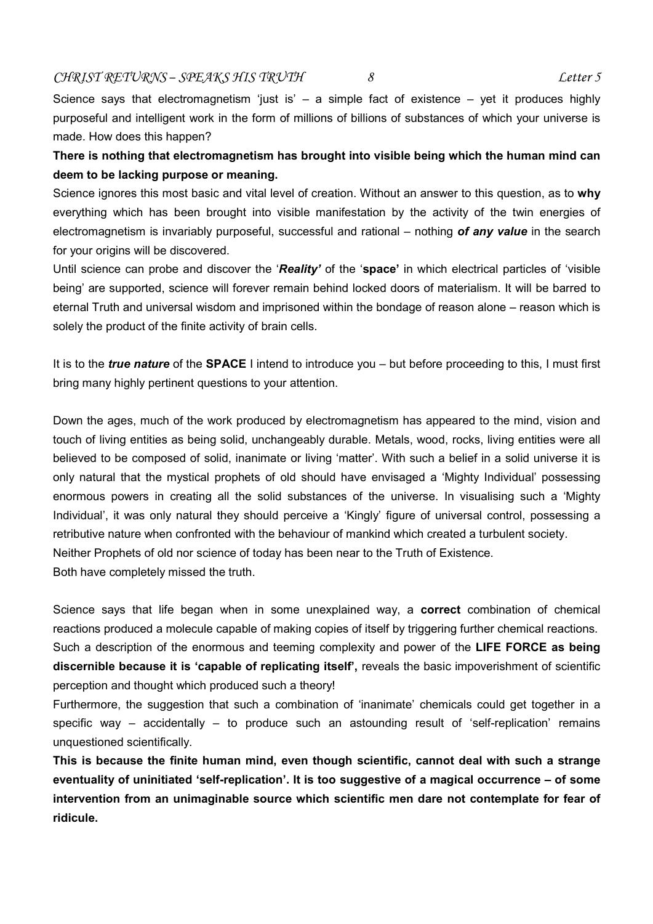### *CHRIST RETURNS* – *SPEAKS HIS TRUTH 8 Letter 5*

Science says that electromagnetism 'just is'  $-$  a simple fact of existence  $-$  yet it produces highly purposeful and intelligent work in the form of millions of billions of substances of which your universe is made. How does this happen?

# **There is nothing that electromagnetism has brought into visible being which the human mind can deem to be lacking purpose or meaning.**

Science ignores this most basic and vital level of creation. Without an answer to this question, as to **why**  everything which has been brought into visible manifestation by the activity of the twin energies of electromagnetism is invariably purposeful, successful and rational – nothing *of any value* in the search for your origins will be discovered.

Until science can probe and discover the '*Reality'* of the '**space'** in which electrical particles of 'visible being' are supported, science will forever remain behind locked doors of materialism. It will be barred to eternal Truth and universal wisdom and imprisoned within the bondage of reason alone – reason which is solely the product of the finite activity of brain cells.

It is to the *true nature* of the **SPACE** I intend to introduce you – but before proceeding to this, I must first bring many highly pertinent questions to your attention.

Down the ages, much of the work produced by electromagnetism has appeared to the mind, vision and touch of living entities as being solid, unchangeably durable. Metals, wood, rocks, living entities were all believed to be composed of solid, inanimate or living 'matter'. With such a belief in a solid universe it is only natural that the mystical prophets of old should have envisaged a 'Mighty Individual' possessing enormous powers in creating all the solid substances of the universe. In visualising such a 'Mighty Individual', it was only natural they should perceive a 'Kingly' figure of universal control, possessing a retributive nature when confronted with the behaviour of mankind which created a turbulent society. Neither Prophets of old nor science of today has been near to the Truth of Existence.

Both have completely missed the truth.

Science says that life began when in some unexplained way, a **correct** combination of chemical reactions produced a molecule capable of making copies of itself by triggering further chemical reactions.

Such a description of the enormous and teeming complexity and power of the **LIFE FORCE as being discernible because it is 'capable of replicating itself',** reveals the basic impoverishment of scientific perception and thought which produced such a theory!

Furthermore, the suggestion that such a combination of 'inanimate' chemicals could get together in a specific way – accidentally – to produce such an astounding result of 'self-replication' remains unquestioned scientifically.

**This is because the finite human mind, even though scientific, cannot deal with such a strange eventuality of uninitiated 'self-replication'. It is too suggestive of a magical occurrence – of some intervention from an unimaginable source which scientific men dare not contemplate for fear of ridicule.**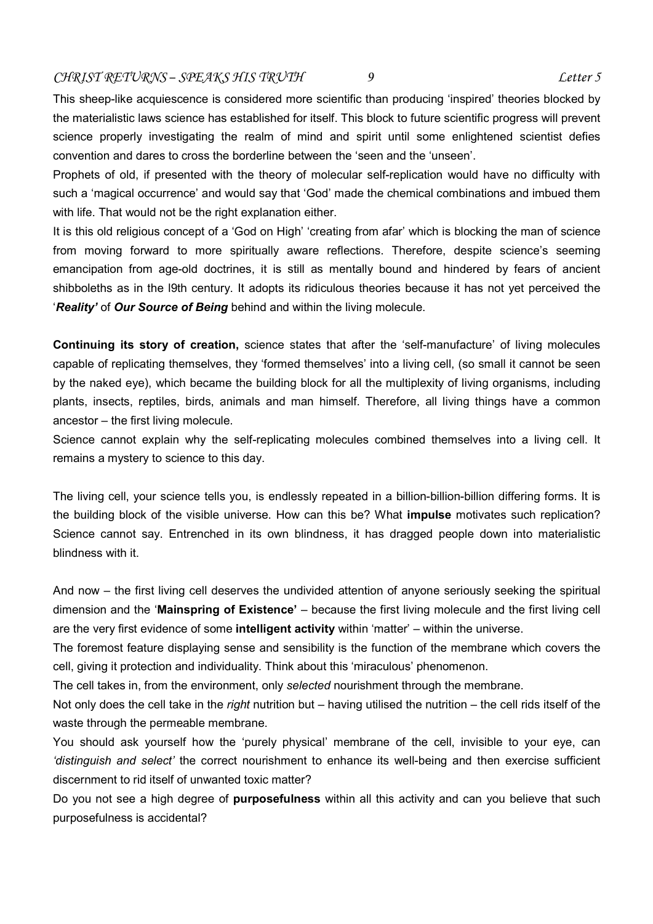## *CHRIST RETURNS* – *SPEAKS HIS TRUTH 9 Letter 5*

This sheep-like acquiescence is considered more scientific than producing 'inspired' theories blocked by the materialistic laws science has established for itself. This block to future scientific progress will prevent science properly investigating the realm of mind and spirit until some enlightened scientist defies convention and dares to cross the borderline between the 'seen and the 'unseen'.

Prophets of old, if presented with the theory of molecular self-replication would have no difficulty with such a 'magical occurrence' and would say that 'God' made the chemical combinations and imbued them with life. That would not be the right explanation either.

It is this old religious concept of a 'God on High' 'creating from afar' which is blocking the man of science from moving forward to more spiritually aware reflections. Therefore, despite science's seeming emancipation from age-old doctrines, it is still as mentally bound and hindered by fears of ancient shibboleths as in the l9th century. It adopts its ridiculous theories because it has not yet perceived the '*Reality'* of *Our Source of Being* behind and within the living molecule.

**Continuing its story of creation,** science states that after the 'self-manufacture' of living molecules capable of replicating themselves, they 'formed themselves' into a living cell, (so small it cannot be seen by the naked eye), which became the building block for all the multiplexity of living organisms, including plants, insects, reptiles, birds, animals and man himself. Therefore, all living things have a common ancestor – the first living molecule.

Science cannot explain why the self-replicating molecules combined themselves into a living cell. It remains a mystery to science to this day.

The living cell, your science tells you, is endlessly repeated in a billion-billion-billion differing forms. It is the building block of the visible universe. How can this be? What **impulse** motivates such replication? Science cannot say. Entrenched in its own blindness, it has dragged people down into materialistic blindness with it.

And now – the first living cell deserves the undivided attention of anyone seriously seeking the spiritual dimension and the '**Mainspring of Existence'** – because the first living molecule and the first living cell are the very first evidence of some **intelligent activity** within 'matter' – within the universe.

The foremost feature displaying sense and sensibility is the function of the membrane which covers the cell, giving it protection and individuality. Think about this 'miraculous' phenomenon.

The cell takes in, from the environment, only *selected* nourishment through the membrane.

Not only does the cell take in the *right* nutrition but – having utilised the nutrition – the cell rids itself of the waste through the permeable membrane.

You should ask yourself how the 'purely physical' membrane of the cell, invisible to your eye, can *'distinguish and select'* the correct nourishment to enhance its well-being and then exercise sufficient discernment to rid itself of unwanted toxic matter?

Do you not see a high degree of **purposefulness** within all this activity and can you believe that such purposefulness is accidental?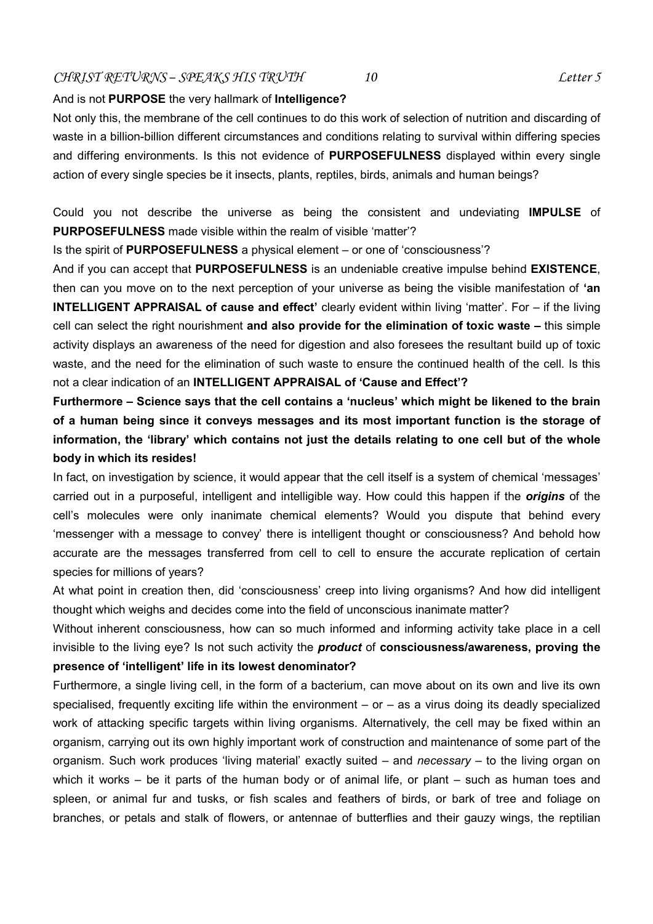# *CHRIST RETURNS* – *SPEAKS HIS TRUTH 10 Letter 5*

#### And is not **PURPOSE** the very hallmark of **Intelligence?**

Not only this, the membrane of the cell continues to do this work of selection of nutrition and discarding of waste in a billion-billion different circumstances and conditions relating to survival within differing species and differing environments. Is this not evidence of **PURPOSEFULNESS** displayed within every single action of every single species be it insects, plants, reptiles, birds, animals and human beings?

Could you not describe the universe as being the consistent and undeviating **IMPULSE** of **PURPOSEFULNESS** made visible within the realm of visible 'matter'?

Is the spirit of **PURPOSEFULNESS** a physical element – or one of 'consciousness'?

And if you can accept that **PURPOSEFULNESS** is an undeniable creative impulse behind **EXISTENCE**, then can you move on to the next perception of your universe as being the visible manifestation of **'an INTELLIGENT APPRAISAL of cause and effect'** clearly evident within living 'matter'. For – if the living cell can select the right nourishment **and also provide for the elimination of toxic waste –** this simple activity displays an awareness of the need for digestion and also foresees the resultant build up of toxic waste, and the need for the elimination of such waste to ensure the continued health of the cell. Is this not a clear indication of an **INTELLIGENT APPRAISAL of 'Cause and Effect'?**

**Furthermore – Science says that the cell contains a 'nucleus' which might be likened to the brain of a human being since it conveys messages and its most important function is the storage of information, the 'library' which contains not just the details relating to one cell but of the whole body in which its resides!** 

In fact, on investigation by science, it would appear that the cell itself is a system of chemical 'messages' carried out in a purposeful, intelligent and intelligible way. How could this happen if the *origins* of the cell's molecules were only inanimate chemical elements? Would you dispute that behind every 'messenger with a message to convey' there is intelligent thought or consciousness? And behold how accurate are the messages transferred from cell to cell to ensure the accurate replication of certain species for millions of years?

At what point in creation then, did 'consciousness' creep into living organisms? And how did intelligent thought which weighs and decides come into the field of unconscious inanimate matter?

Without inherent consciousness, how can so much informed and informing activity take place in a cell invisible to the living eye? Is not such activity the *product* of **consciousness/awareness, proving the presence of 'intelligent' life in its lowest denominator?**

Furthermore, a single living cell, in the form of a bacterium, can move about on its own and live its own specialised, frequently exciting life within the environment  $-$  or  $-$  as a virus doing its deadly specialized work of attacking specific targets within living organisms. Alternatively, the cell may be fixed within an organism, carrying out its own highly important work of construction and maintenance of some part of the organism. Such work produces 'living material' exactly suited – and *necessary –* to the living organ on which it works – be it parts of the human body or of animal life, or plant – such as human toes and spleen, or animal fur and tusks, or fish scales and feathers of birds, or bark of tree and foliage on branches, or petals and stalk of flowers, or antennae of butterflies and their gauzy wings, the reptilian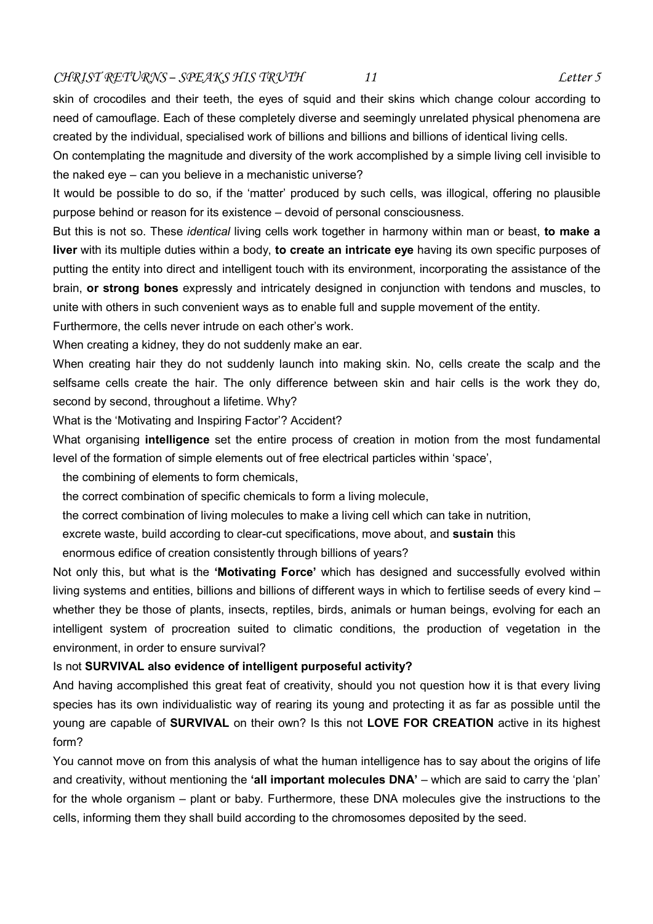# *CHRIST RETURNS* – *SPEAKS HIS TRUTH 11 Letter 5*

skin of crocodiles and their teeth, the eyes of squid and their skins which change colour according to need of camouflage. Each of these completely diverse and seemingly unrelated physical phenomena are created by the individual, specialised work of billions and billions and billions of identical living cells.

On contemplating the magnitude and diversity of the work accomplished by a simple living cell invisible to the naked eye – can you believe in a mechanistic universe?

It would be possible to do so, if the 'matter' produced by such cells, was illogical, offering no plausible purpose behind or reason for its existence – devoid of personal consciousness.

But this is not so. These *identical* living cells work together in harmony within man or beast, **to make a liver** with its multiple duties within a body, **to create an intricate eye** having its own specific purposes of putting the entity into direct and intelligent touch with its environment, incorporating the assistance of the brain, **or strong bones** expressly and intricately designed in conjunction with tendons and muscles, to unite with others in such convenient ways as to enable full and supple movement of the entity.

Furthermore, the cells never intrude on each other's work.

When creating a kidney, they do not suddenly make an ear.

When creating hair they do not suddenly launch into making skin. No, cells create the scalp and the selfsame cells create the hair. The only difference between skin and hair cells is the work they do, second by second, throughout a lifetime. Why?

What is the 'Motivating and Inspiring Factor'? Accident?

What organising **intelligence** set the entire process of creation in motion from the most fundamental level of the formation of simple elements out of free electrical particles within 'space',

the combining of elements to form chemicals,

the correct combination of specific chemicals to form a living molecule,

the correct combination of living molecules to make a living cell which can take in nutrition,

excrete waste, build according to clear-cut specifications, move about, and **sustain** this

enormous edifice of creation consistently through billions of years?

Not only this, but what is the **'Motivating Force'** which has designed and successfully evolved within living systems and entities, billions and billions of different ways in which to fertilise seeds of every kind – whether they be those of plants, insects, reptiles, birds, animals or human beings, evolving for each an intelligent system of procreation suited to climatic conditions, the production of vegetation in the environment, in order to ensure survival?

# Is not **SURVIVAL also evidence of intelligent purposeful activity?**

And having accomplished this great feat of creativity, should you not question how it is that every living species has its own individualistic way of rearing its young and protecting it as far as possible until the young are capable of **SURVIVAL** on their own? Is this not **LOVE FOR CREATION** active in its highest form?

You cannot move on from this analysis of what the human intelligence has to say about the origins of life and creativity, without mentioning the **'all important molecules DNA'** – which are said to carry the 'plan' for the whole organism – plant or baby. Furthermore, these DNA molecules give the instructions to the cells, informing them they shall build according to the chromosomes deposited by the seed.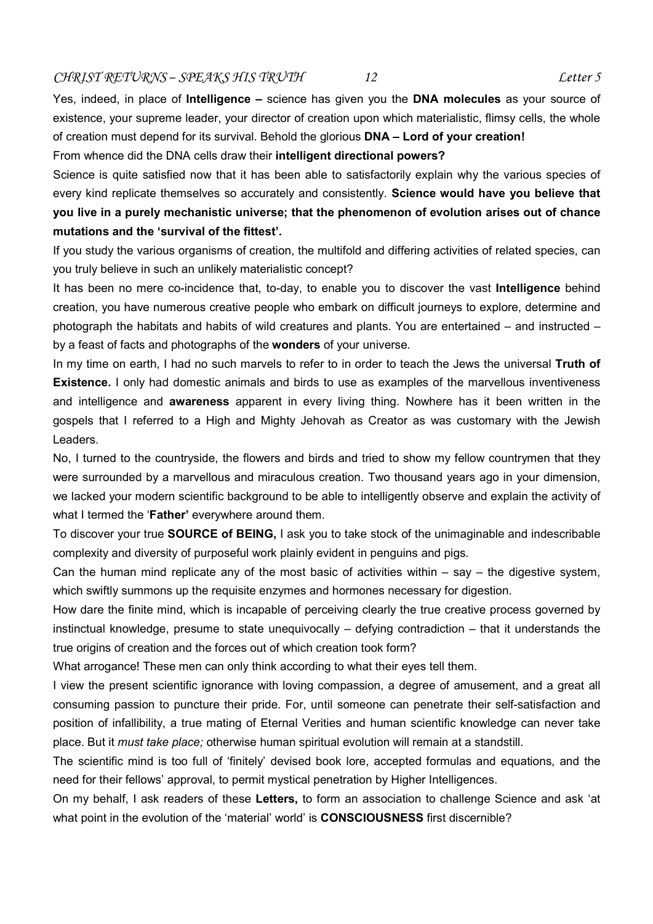### *CHRIST RETURNS* – *SPEAKS HIS TRUTH 12 Letter 5*

Yes, indeed, in place of **Intelligence –** science has given you the **DNA molecules** as your source of existence, your supreme leader, your director of creation upon which materialistic, flimsy cells, the whole of creation must depend for its survival. Behold the glorious **DNA – Lord of your creation!**

From whence did the DNA cells draw their **intelligent directional powers?** 

Science is quite satisfied now that it has been able to satisfactorily explain why the various species of every kind replicate themselves so accurately and consistently. **Science would have you believe that you live in a purely mechanistic universe; that the phenomenon of evolution arises out of chance mutations and the 'survival of the fittest'.**

If you study the various organisms of creation, the multifold and differing activities of related species, can you truly believe in such an unlikely materialistic concept?

It has been no mere co-incidence that, to-day, to enable you to discover the vast **Intelligence** behind creation, you have numerous creative people who embark on difficult journeys to explore, determine and photograph the habitats and habits of wild creatures and plants. You are entertained – and instructed – by a feast of facts and photographs of the **wonders** of your universe.

In my time on earth, I had no such marvels to refer to in order to teach the Jews the universal **Truth of Existence.** I only had domestic animals and birds to use as examples of the marvellous inventiveness and intelligence and **awareness** apparent in every living thing. Nowhere has it been written in the gospels that I referred to a High and Mighty Jehovah as Creator as was customary with the Jewish Leaders.

No, I turned to the countryside, the flowers and birds and tried to show my fellow countrymen that they were surrounded by a marvellous and miraculous creation. Two thousand years ago in your dimension, we lacked your modern scientific background to be able to intelligently observe and explain the activity of what I termed the '**Father'** everywhere around them.

To discover your true **SOURCE of BEING,** I ask you to take stock of the unimaginable and indescribable complexity and diversity of purposeful work plainly evident in penguins and pigs.

Can the human mind replicate any of the most basic of activities within – say – the digestive system, which swiftly summons up the requisite enzymes and hormones necessary for digestion.

How dare the finite mind, which is incapable of perceiving clearly the true creative process governed by instinctual knowledge, presume to state unequivocally – defying contradiction – that it understands the true origins of creation and the forces out of which creation took form?

What arrogance! These men can only think according to what their eyes tell them.

I view the present scientific ignorance with loving compassion, a degree of amusement, and a great all consuming passion to puncture their pride. For, until someone can penetrate their self-satisfaction and position of infallibility, a true mating of Eternal Verities and human scientific knowledge can never take place. But it *must take place;* otherwise human spiritual evolution will remain at a standstill.

The scientific mind is too full of 'finitely' devised book lore, accepted formulas and equations, and the need for their fellows' approval, to permit mystical penetration by Higher Intelligences.

On my behalf, I ask readers of these **Letters,** to form an association to challenge Science and ask 'at what point in the evolution of the 'material' world' is **CONSCIOUSNESS** first discernible?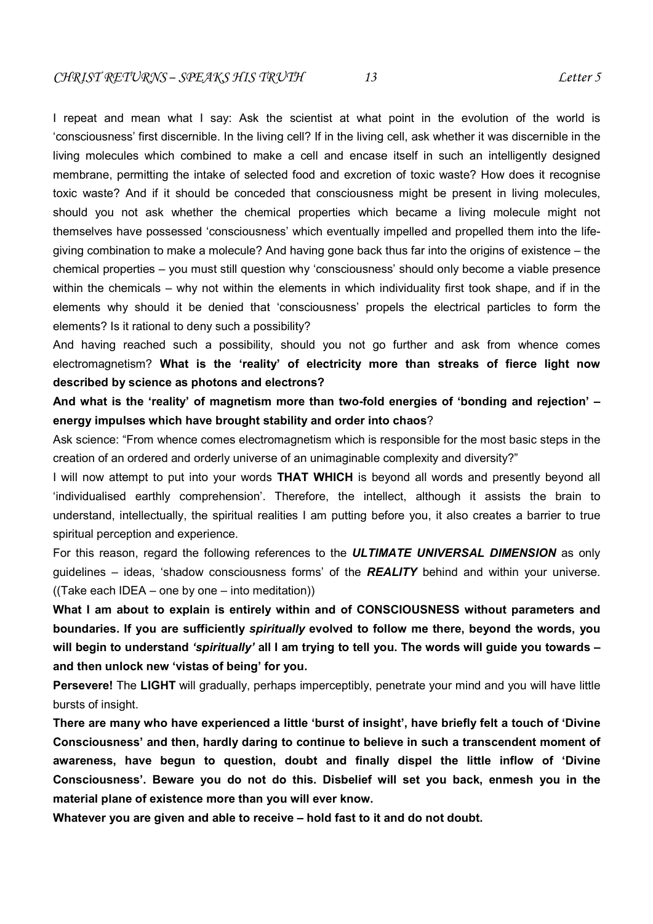I repeat and mean what I say: Ask the scientist at what point in the evolution of the world is 'consciousness' first discernible. In the living cell? If in the living cell, ask whether it was discernible in the living molecules which combined to make a cell and encase itself in such an intelligently designed membrane, permitting the intake of selected food and excretion of toxic waste? How does it recognise toxic waste? And if it should be conceded that consciousness might be present in living molecules, should you not ask whether the chemical properties which became a living molecule might not themselves have possessed 'consciousness' which eventually impelled and propelled them into the lifegiving combination to make a molecule? And having gone back thus far into the origins of existence – the chemical properties – you must still question why 'consciousness' should only become a viable presence within the chemicals – why not within the elements in which individuality first took shape, and if in the elements why should it be denied that 'consciousness' propels the electrical particles to form the elements? Is it rational to deny such a possibility?

And having reached such a possibility, should you not go further and ask from whence comes electromagnetism? **What is the 'reality' of electricity more than streaks of fierce light now described by science as photons and electrons?**

**And what is the 'reality' of magnetism more than two-fold energies of 'bonding and rejection' – energy impulses which have brought stability and order into chaos**?

Ask science: "From whence comes electromagnetism which is responsible for the most basic steps in the creation of an ordered and orderly universe of an unimaginable complexity and diversity?"

I will now attempt to put into your words **THAT WHICH** is beyond all words and presently beyond all 'individualised earthly comprehension'. Therefore, the intellect, although it assists the brain to understand, intellectually, the spiritual realities I am putting before you, it also creates a barrier to true spiritual perception and experience.

For this reason, regard the following references to the *ULTIMATE UNIVERSAL DIMENSION* as only guidelines – ideas, 'shadow consciousness forms' of the *REALITY* behind and within your universe.  $((Take each IDEA - one by one - into meditation))$ 

**What I am about to explain is entirely within and of CONSCIOUSNESS without parameters and boundaries. If you are sufficiently** *spiritually* **evolved to follow me there, beyond the words, you will begin to understand** *'spiritually'* **all I am trying to tell you. The words will guide you towards – and then unlock new 'vistas of being' for you.** 

**Persevere!** The **LIGHT** will gradually, perhaps imperceptibly, penetrate your mind and you will have little bursts of insight.

**There are many who have experienced a little 'burst of insight', have briefly felt a touch of 'Divine Consciousness' and then, hardly daring to continue to believe in such a transcendent moment of awareness, have begun to question, doubt and finally dispel the little inflow of 'Divine Consciousness'. Beware you do not do this. Disbelief will set you back, enmesh you in the material plane of existence more than you will ever know.** 

**Whatever you are given and able to receive – hold fast to it and do not doubt.**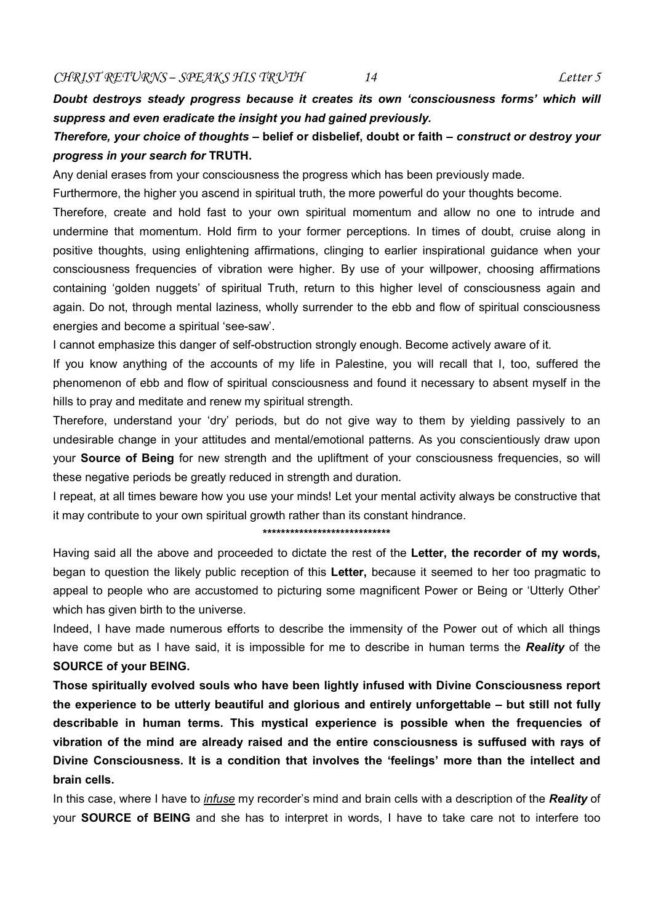# *CHRIST RETURNS* – *SPEAKS HIS TRUTH 14 Letter 5*

*Doubt destroys steady progress because it creates its own 'consciousness forms' which will suppress and even eradicate the insight you had gained previously.* 

# *Therefore, your choice of thoughts* **– belief or disbelief, doubt or faith –** *construct or destroy your progress in your search for* **TRUTH.**

Any denial erases from your consciousness the progress which has been previously made.

Furthermore, the higher you ascend in spiritual truth, the more powerful do your thoughts become.

Therefore, create and hold fast to your own spiritual momentum and allow no one to intrude and undermine that momentum. Hold firm to your former perceptions. In times of doubt, cruise along in positive thoughts, using enlightening affirmations, clinging to earlier inspirational guidance when your consciousness frequencies of vibration were higher. By use of your willpower, choosing affirmations containing 'golden nuggets' of spiritual Truth, return to this higher level of consciousness again and again. Do not, through mental laziness, wholly surrender to the ebb and flow of spiritual consciousness energies and become a spiritual 'see-saw'.

I cannot emphasize this danger of self-obstruction strongly enough. Become actively aware of it.

If you know anything of the accounts of my life in Palestine, you will recall that I, too, suffered the phenomenon of ebb and flow of spiritual consciousness and found it necessary to absent myself in the hills to pray and meditate and renew my spiritual strength.

Therefore, understand your 'dry' periods, but do not give way to them by yielding passively to an undesirable change in your attitudes and mental/emotional patterns. As you conscientiously draw upon your **Source of Being** for new strength and the upliftment of your consciousness frequencies, so will these negative periods be greatly reduced in strength and duration.

I repeat, at all times beware how you use your minds! Let your mental activity always be constructive that it may contribute to your own spiritual growth rather than its constant hindrance.

**\*\*\*\*\*\*\*\*\*\*\*\*\*\*\*\*\*\*\*\*\*\*\*\*\*\*\*\*** 

Having said all the above and proceeded to dictate the rest of the **Letter, the recorder of my words,**  began to question the likely public reception of this **Letter,** because it seemed to her too pragmatic to appeal to people who are accustomed to picturing some magnificent Power or Being or 'Utterly Other' which has given birth to the universe.

Indeed, I have made numerous efforts to describe the immensity of the Power out of which all things have come but as I have said, it is impossible for me to describe in human terms the *Reality* of the **SOURCE of your BEING.**

**Those spiritually evolved souls who have been lightly infused with Divine Consciousness report the experience to be utterly beautiful and glorious and entirely unforgettable – but still not fully describable in human terms. This mystical experience is possible when the frequencies of vibration of the mind are already raised and the entire consciousness is suffused with rays of Divine Consciousness. It is a condition that involves the 'feelings' more than the intellect and brain cells.** 

In this case, where I have to *infuse* my recorder's mind and brain cells with a description of the *Reality* of your **SOURCE of BEING** and she has to interpret in words, I have to take care not to interfere too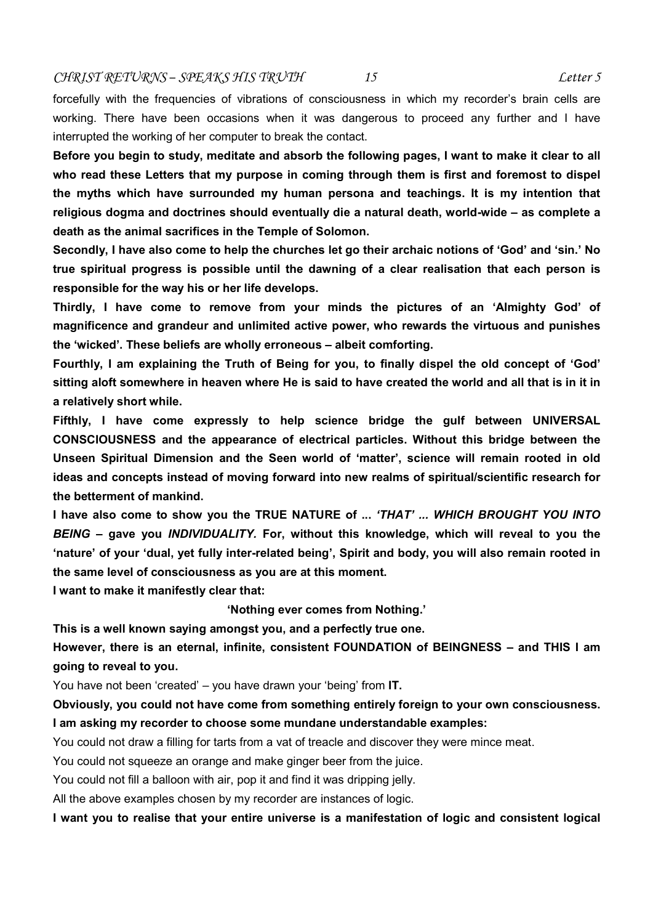### *CHRIST RETURNS* – *SPEAKS HIS TRUTH 15 Letter 5*

forcefully with the frequencies of vibrations of consciousness in which my recorder's brain cells are working. There have been occasions when it was dangerous to proceed any further and I have interrupted the working of her computer to break the contact.

**Before you begin to study, meditate and absorb the following pages, I want to make it clear to all who read these Letters that my purpose in coming through them is first and foremost to dispel the myths which have surrounded my human persona and teachings. It is my intention that religious dogma and doctrines should eventually die a natural death, world-wide – as complete a death as the animal sacrifices in the Temple of Solomon.** 

**Secondly, I have also come to help the churches let go their archaic notions of 'God' and 'sin.' No true spiritual progress is possible until the dawning of a clear realisation that each person is responsible for the way his or her life develops.** 

**Thirdly, I have come to remove from your minds the pictures of an 'Almighty God' of magnificence and grandeur and unlimited active power, who rewards the virtuous and punishes the 'wicked'. These beliefs are wholly erroneous – albeit comforting.** 

**Fourthly, I am explaining the Truth of Being for you, to finally dispel the old concept of 'God' sitting aloft somewhere in heaven where He is said to have created the world and all that is in it in a relatively short while.** 

**Fifthly, I have come expressly to help science bridge the gulf between UNIVERSAL CONSCIOUSNESS and the appearance of electrical particles. Without this bridge between the Unseen Spiritual Dimension and the Seen world of 'matter', science will remain rooted in old ideas and concepts instead of moving forward into new realms of spiritual/scientific research for the betterment of mankind.** 

**I have also come to show you the TRUE NATURE of ...** *'THAT' ... WHICH BROUGHT YOU INTO BEING –* **gave you** *INDIVIDUALITY.* **For, without this knowledge, which will reveal to you the 'nature' of your 'dual, yet fully inter-related being', Spirit and body, you will also remain rooted in the same level of consciousness as you are at this moment.**

**I want to make it manifestly clear that:** 

**'Nothing ever comes from Nothing.'** 

**This is a well known saying amongst you, and a perfectly true one.** 

**However, there is an eternal, infinite, consistent FOUNDATION of BEINGNESS – and THIS I am going to reveal to you.** 

You have not been 'created' – you have drawn your 'being' from **IT.** 

**Obviously, you could not have come from something entirely foreign to your own consciousness. I am asking my recorder to choose some mundane understandable examples:** 

You could not draw a filling for tarts from a vat of treacle and discover they were mince meat.

You could not squeeze an orange and make ginger beer from the juice.

You could not fill a balloon with air, pop it and find it was dripping jelly.

All the above examples chosen by my recorder are instances of logic.

**I want you to realise that your entire universe is a manifestation of logic and consistent logical**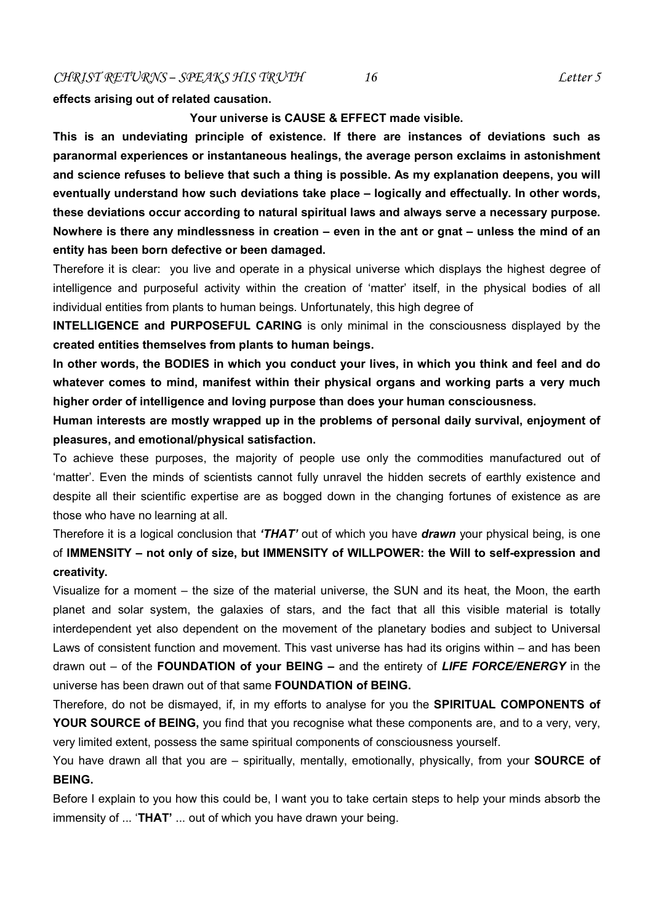**effects arising out of related causation.** 

#### **Your universe is CAUSE & EFFECT made visible.**

**This is an undeviating principle of existence. If there are instances of deviations such as paranormal experiences or instantaneous healings, the average person exclaims in astonishment and science refuses to believe that such a thing is possible. As my explanation deepens, you will eventually understand how such deviations take place – logically and effectually. In other words, these deviations occur according to natural spiritual laws and always serve a necessary purpose. Nowhere is there any mindlessness in creation – even in the ant or gnat – unless the mind of an entity has been born defective or been damaged.** 

Therefore it is clear: you live and operate in a physical universe which displays the highest degree of intelligence and purposeful activity within the creation of 'matter' itself, in the physical bodies of all individual entities from plants to human beings. Unfortunately, this high degree of

**INTELLIGENCE and PURPOSEFUL CARING** is only minimal in the consciousness displayed by the **created entities themselves from plants to human beings.**

**In other words, the BODIES in which you conduct your lives, in which you think and feel and do whatever comes to mind, manifest within their physical organs and working parts a very much higher order of intelligence and loving purpose than does your human consciousness.** 

**Human interests are mostly wrapped up in the problems of personal daily survival, enjoyment of pleasures, and emotional/physical satisfaction.** 

To achieve these purposes, the majority of people use only the commodities manufactured out of 'matter'. Even the minds of scientists cannot fully unravel the hidden secrets of earthly existence and despite all their scientific expertise are as bogged down in the changing fortunes of existence as are those who have no learning at all.

Therefore it is a logical conclusion that *'THAT'* out of which you have *drawn* your physical being, is one of **IMMENSITY – not only of size, but IMMENSITY of WILLPOWER: the Will to self-expression and creativity.**

Visualize for a moment – the size of the material universe, the SUN and its heat, the Moon, the earth planet and solar system, the galaxies of stars, and the fact that all this visible material is totally interdependent yet also dependent on the movement of the planetary bodies and subject to Universal Laws of consistent function and movement. This vast universe has had its origins within – and has been drawn out – of the **FOUNDATION of your BEING –** and the entirety of *LIFE FORCE/ENERGY* in the universe has been drawn out of that same **FOUNDATION of BEING.**

Therefore, do not be dismayed, if, in my efforts to analyse for you the **SPIRITUAL COMPONENTS of YOUR SOURCE of BEING,** you find that you recognise what these components are, and to a very, very, very limited extent, possess the same spiritual components of consciousness yourself.

You have drawn all that you are – spiritually, mentally, emotionally, physically, from your **SOURCE of BEING.**

Before I explain to you how this could be, I want you to take certain steps to help your minds absorb the immensity of ... '**THAT'** ... out of which you have drawn your being.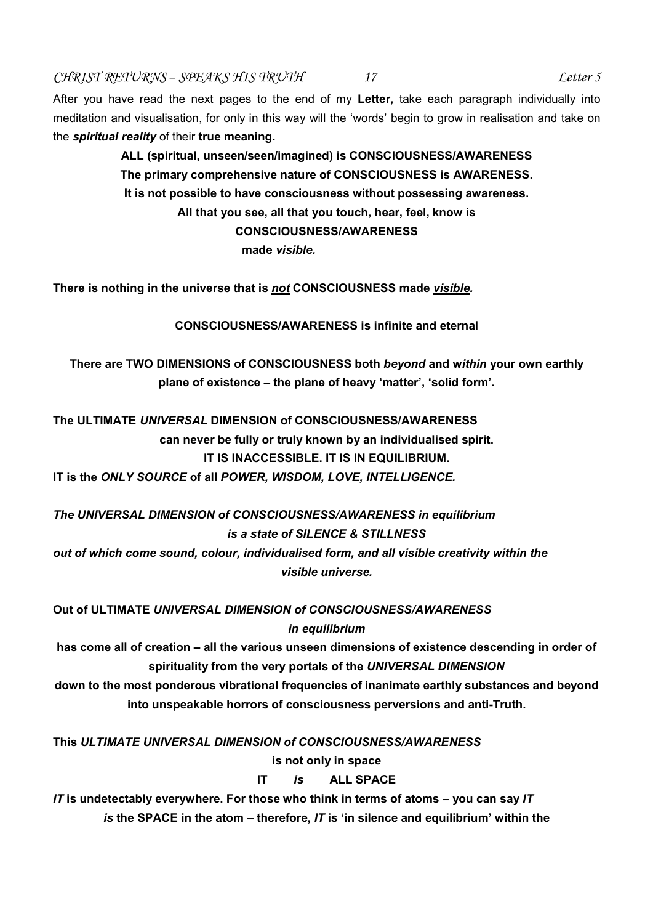*CHRIST RETURNS* – *SPEAKS HIS TRUTH 17 Letter 5*

After you have read the next pages to the end of my **Letter,** take each paragraph individually into meditation and visualisation, for only in this way will the 'words' begin to grow in realisation and take on the *spiritual reality* of their **true meaning.**

> **ALL (spiritual, unseen/seen/imagined) is CONSCIOUSNESS/AWARENESS The primary comprehensive nature of CONSCIOUSNESS is AWARENESS. It is not possible to have consciousness without possessing awareness. All that you see, all that you touch, hear, feel, know is CONSCIOUSNESS/AWARENESS made** *visible.*

**There is nothing in the universe that is** *not* **CONSCIOUSNESS made** *visible.* 

**CONSCIOUSNESS/AWARENESS is infinite and eternal** 

**There are TWO DIMENSIONS of CONSCIOUSNESS both** *beyond* **and w***ithin* **your own earthly plane of existence – the plane of heavy 'matter', 'solid form'.** 

**The ULTIMATE** *UNIVERSAL* **DIMENSION of CONSCIOUSNESS/AWARENESS can never be fully or truly known by an individualised spirit. IT IS INACCESSIBLE. IT IS IN EQUILIBRIUM.** 

**IT is the** *ONLY SOURCE* **of all** *POWER, WISDOM, LOVE, INTELLIGENCE.* 

*The UNIVERSAL DIMENSION of CONSCIOUSNESS/AWARENESS in equilibrium is a state of SILENCE & STILLNESS* 

*out of which come sound, colour, individualised form, and all visible creativity within the visible universe.* 

**Out of ULTIMATE** *UNIVERSAL DIMENSION of CONSCIOUSNESS/AWARENESS in equilibrium* 

**has come all of creation – all the various unseen dimensions of existence descending in order of spirituality from the very portals of the** *UNIVERSAL DIMENSION* 

**down to the most ponderous vibrational frequencies of inanimate earthly substances and beyond into unspeakable horrors of consciousness perversions and anti-Truth.** 

**This** *ULTIMATE UNIVERSAL DIMENSION of CONSCIOUSNESS/AWARENESS* 

**is not only in space** 

# **IT** *is* **ALL SPACE**

*IT* **is undetectably everywhere. For those who think in terms of atoms – you can say** *IT is* **the SPACE in the atom – therefore,** *IT* **is 'in silence and equilibrium' within the**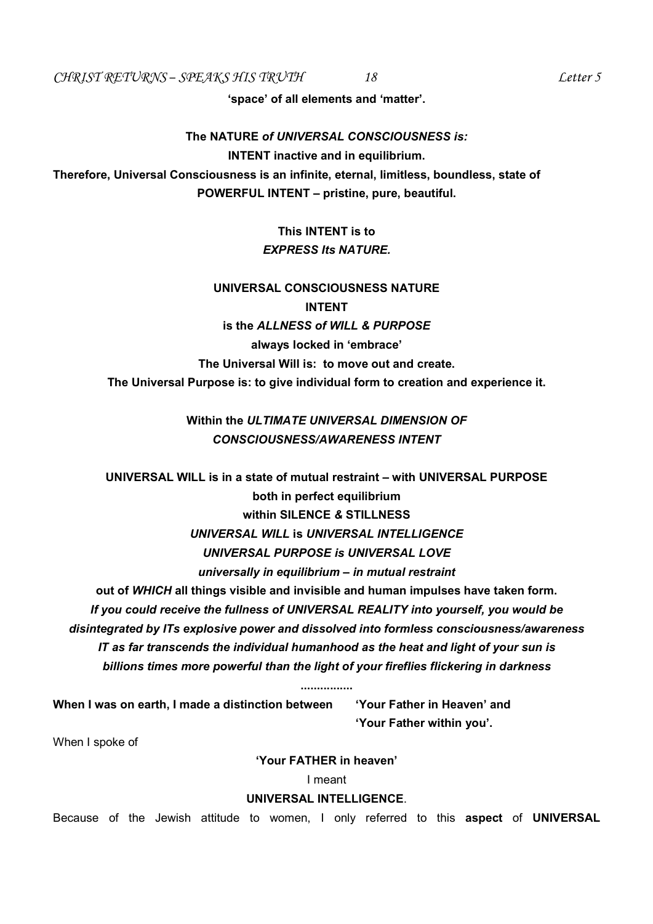*CHRIST RETURNS* – *SPEAKS HIS TRUTH 18 Letter 5*

**'space' of all elements and 'matter'.** 

#### **The NATURE** *of UNIVERSAL CONSCIOUSNESS is:*

**INTENT inactive and in equilibrium.** 

**Therefore, Universal Consciousness is an infinite, eternal, limitless, boundless, state of POWERFUL INTENT – pristine, pure, beautiful.** 

# **This INTENT is to**  *EXPRESS Its NATURE.*

# **UNIVERSAL CONSCIOUSNESS NATURE INTENT is the** *ALLNESS of WILL & PURPOSE*

**always locked in 'embrace' The Universal Will is: to move out and create. The Universal Purpose is: to give individual form to creation and experience it.** 

> **Within the** *ULTIMATE UNIVERSAL DIMENSION OF CONSCIOUSNESS/AWARENESS INTENT*

**UNIVERSAL WILL is in a state of mutual restraint – with UNIVERSAL PURPOSE both in perfect equilibrium within SILENCE** *&* **STILLNESS**  *UNIVERSAL WILL* **is** *UNIVERSAL INTELLIGENCE UNIVERSAL PURPOSE is UNIVERSAL LOVE universally in equilibrium – in mutual restraint*  **out of** *WHICH* **all things visible and invisible and human impulses have taken form.** 

*If you could receive the fullness of UNIVERSAL REALITY into yourself, you would be disintegrated by ITs explosive power and dissolved into formless consciousness/awareness IT as far transcends the individual humanhood as the heat and light of your sun is billions times more powerful than the light of your fireflies flickering in darkness* 

**................** 

**When I was on earth, I made a distinction between 'Your Father in Heaven' and 'Your Father within you'.** 

When I spoke of

#### **'Your FATHER in heaven'**

I meant

### **UNIVERSAL INTELLIGENCE**.

Because of the Jewish attitude to women, I only referred to this **aspect** of **UNIVERSAL**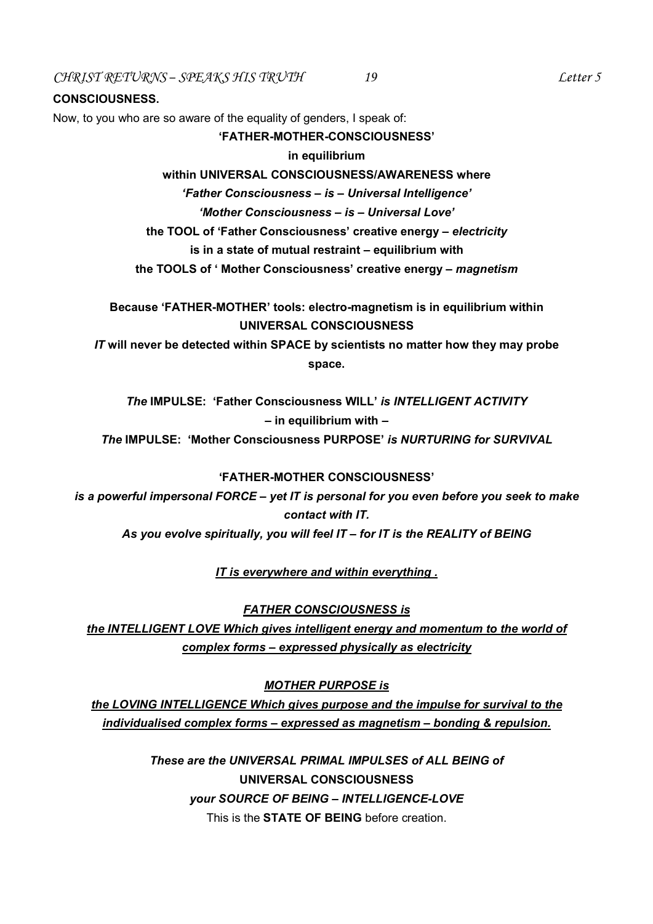*CHRIST RETURNS* – *SPEAKS HIS TRUTH 19 Letter 5*

## **CONSCIOUSNESS.**

Now, to you who are so aware of the equality of genders, I speak of:

#### **'FATHER-MOTHER-CONSCIOUSNESS'**

#### **in equilibrium**

**within UNIVERSAL CONSCIOUSNESS/AWARENESS where** 

*'Father Consciousness – is – Universal Intelligence'* 

*'Mother Consciousness – is – Universal Love'* 

**the TOOL of 'Father Consciousness' creative energy –** *electricity* 

#### **is in a state of mutual restraint – equilibrium with**

**the TOOLS of ' Mother Consciousness' creative energy –** *magnetism* 

**Because 'FATHER-MOTHER' tools: electro-magnetism is in equilibrium within UNIVERSAL CONSCIOUSNESS** 

*IT* **will never be detected within SPACE by scientists no matter how they may probe space.** 

*The* **IMPULSE: 'Father Consciousness WILL'** *is INTELLIGENT ACTIVITY*  **– in equilibrium with –** 

*The* **IMPULSE: 'Mother Consciousness PURPOSE'** *is NURTURING for SURVIVAL* 

#### **'FATHER-MOTHER CONSCIOUSNESS'**

*is a powerful impersonal FORCE – yet IT is personal for you even before you seek to make contact with IT.* 

*As you evolve spiritually, you will feel IT – for IT is the REALITY of BEING* 

*IT is everywhere and within everything .*

*FATHER CONSCIOUSNESS is*

*the INTELLIGENT LOVE Which gives intelligent energy and momentum to the world of complex forms – expressed physically as electricity*

*MOTHER PURPOSE is*

*the LOVING INTELLIGENCE Which gives purpose and the impulse for survival to the individualised complex forms – expressed as magnetism – bonding & repulsion.*

> *These are the UNIVERSAL PRIMAL IMPULSES of ALL BEING of*  **UNIVERSAL CONSCIOUSNESS**  *your SOURCE OF BEING – INTELLIGENCE-LOVE*  This is the **STATE OF BEING** before creation.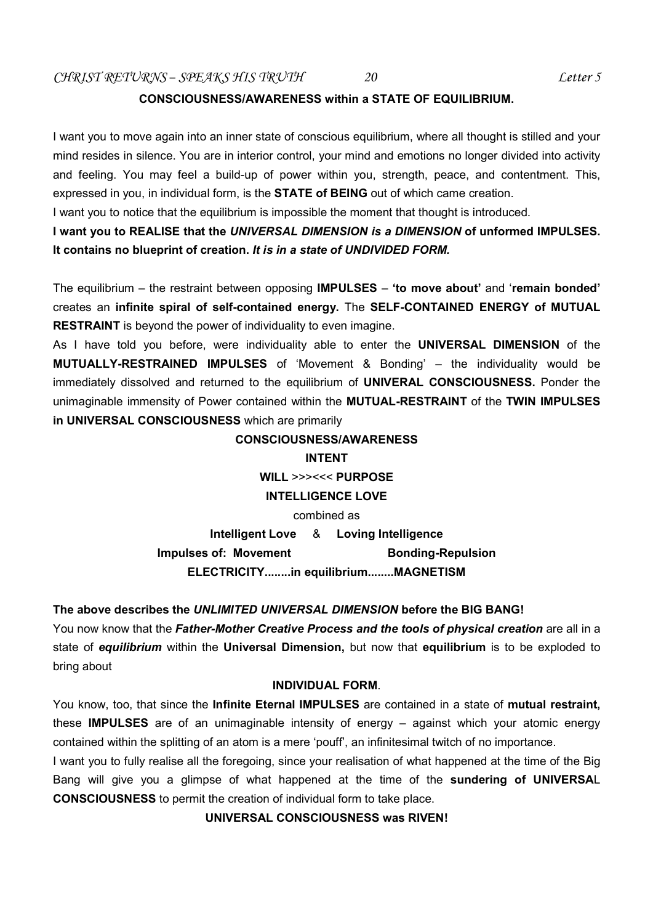*CHRIST RETURNS* – *SPEAKS HIS TRUTH 20 Letter 5*

### **CONSCIOUSNESS/AWARENESS within a STATE OF EQUILIBRIUM.**

I want you to move again into an inner state of conscious equilibrium, where all thought is stilled and your mind resides in silence. You are in interior control, your mind and emotions no longer divided into activity and feeling. You may feel a build-up of power within you, strength, peace, and contentment. This, expressed in you, in individual form, is the **STATE of BEING** out of which came creation.

I want you to notice that the equilibrium is impossible the moment that thought is introduced.

**I want you to REALISE that the** *UNIVERSAL DIMENSION is a DIMENSION* **of unformed IMPULSES. It contains no blueprint of creation.** *It is in a state of UNDIVIDED FORM.* 

The equilibrium – the restraint between opposing **IMPULSES** – **'to move about'** and '**remain bonded'**  creates an **infinite spiral of self-contained energy.** The **SELF-CONTAINED ENERGY of MUTUAL RESTRAINT** is beyond the power of individuality to even imagine.

As I have told you before, were individuality able to enter the **UNIVERSAL DIMENSION** of the **MUTUALLY-RESTRAINED IMPULSES** of 'Movement & Bonding' – the individuality would be immediately dissolved and returned to the equilibrium of **UNIVERAL CONSCIOUSNESS.** Ponder the unimaginable immensity of Power contained within the **MUTUAL-RESTRAINT** of the **TWIN IMPULSES in UNIVERSAL CONSCIOUSNESS** which are primarily

### **CONSCIOUSNESS/AWARENESS**

#### **INTENT**

**WILL** >>><<< **PURPOSE** 

#### **INTELLIGENCE LOVE**

combined as

**Intelligent Love** & **Loving Intelligence Impulses of: Movement Bonding-Repulsion ELECTRICITY........in equilibrium........MAGNETISM** 

#### **The above describes the** *UNLIMITED UNIVERSAL DIMENSION* **before the BIG BANG!**

You now know that the *Father-Mother Creative Process and the tools of physical creation* are all in a state of *equilibrium* within the **Universal Dimension,** but now that **equilibrium** is to be exploded to bring about

#### **INDIVIDUAL FORM**.

You know, too, that since the **Infinite Eternal IMPULSES** are contained in a state of **mutual restraint,**  these **IMPULSES** are of an unimaginable intensity of energy – against which your atomic energy contained within the splitting of an atom is a mere 'pouff', an infinitesimal twitch of no importance.

I want you to fully realise all the foregoing, since your realisation of what happened at the time of the Big Bang will give you a glimpse of what happened at the time of the **sundering of UNIVERSA**L **CONSCIOUSNESS** to permit the creation of individual form to take place.

**UNIVERSAL CONSCIOUSNESS was RIVEN!**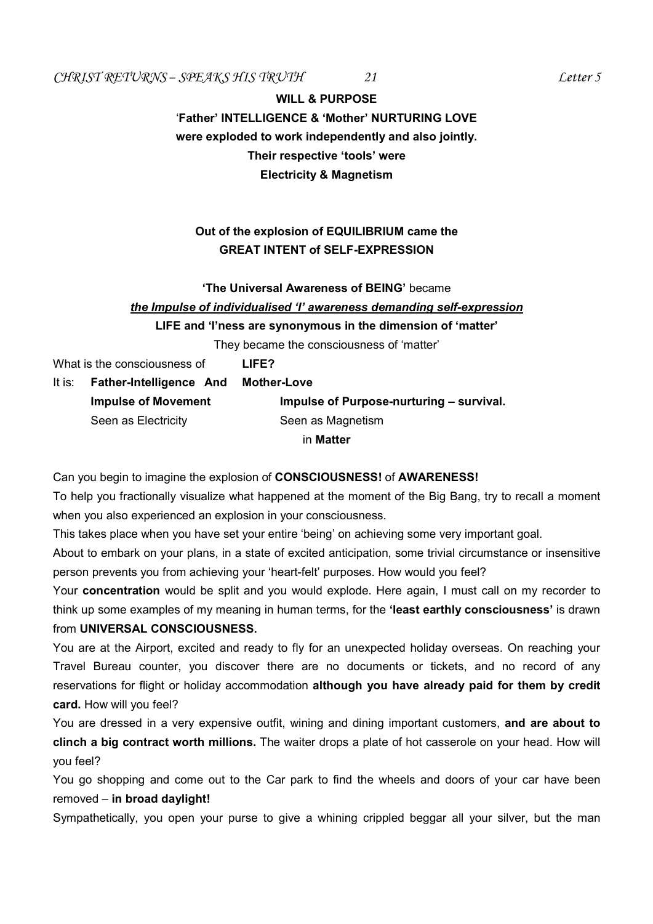*CHRIST RETURNS* – *SPEAKS HIS TRUTH 21 Letter 5*

**WILL & PURPOSE**  '**Father' INTELLIGENCE & 'Mother' NURTURING LOVE were exploded to work independently and also jointly. Their respective 'tools' were Electricity & Magnetism** 

# **Out of the explosion of EQUILIBRIUM came the GREAT INTENT of SELF-EXPRESSION**

# **'The Universal Awareness of BEING'** became *the Impulse of individualised 'I' awareness demanding self-expression* **LIFE and 'I'ness are synonymous in the dimension of 'matter'**

They became the consciousness of 'matter'

What is the consciousness of **LIFE?** 

It is: **Father-Intelligence And Mother-Love**  Seen as Electricity Seen as Magnetism

**Impulse of Movement Impulse of Purpose-nurturing – survival.** 

in **Matter** 

Can you begin to imagine the explosion of **CONSCIOUSNESS!** of **AWARENESS!** 

To help you fractionally visualize what happened at the moment of the Big Bang, try to recall a moment when you also experienced an explosion in your consciousness.

This takes place when you have set your entire 'being' on achieving some very important goal.

About to embark on your plans, in a state of excited anticipation, some trivial circumstance or insensitive person prevents you from achieving your 'heart-felt' purposes. How would you feel?

Your **concentration** would be split and you would explode. Here again, I must call on my recorder to think up some examples of my meaning in human terms, for the **'least earthly consciousness'** is drawn from **UNIVERSAL CONSCIOUSNESS.**

You are at the Airport, excited and ready to fly for an unexpected holiday overseas. On reaching your Travel Bureau counter, you discover there are no documents or tickets, and no record of any reservations for flight or holiday accommodation **although you have already paid for them by credit card.** How will you feel?

You are dressed in a very expensive outfit, wining and dining important customers, **and are about to clinch a big contract worth millions.** The waiter drops a plate of hot casserole on your head. How will you feel?

You go shopping and come out to the Car park to find the wheels and doors of your car have been removed – **in broad daylight!**

Sympathetically, you open your purse to give a whining crippled beggar all your silver, but the man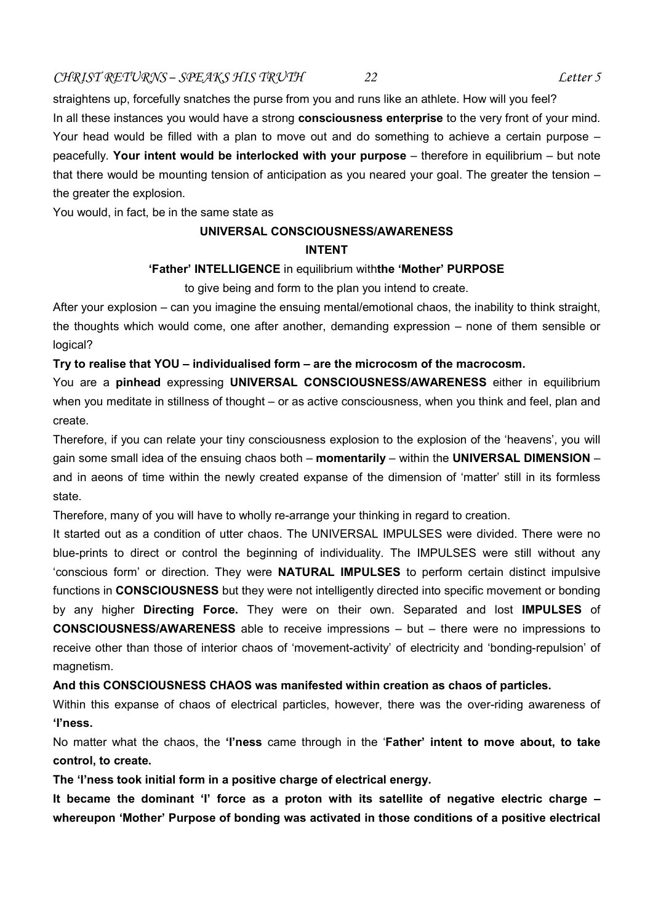## *CHRIST RETURNS* – *SPEAKS HIS TRUTH 22 Letter 5*

straightens up, forcefully snatches the purse from you and runs like an athlete. How will you feel? In all these instances you would have a strong **consciousness enterprise** to the very front of your mind. Your head would be filled with a plan to move out and do something to achieve a certain purpose – peacefully. **Your intent would be interlocked with your purpose** – therefore in equilibrium – but note that there would be mounting tension of anticipation as you neared your goal. The greater the tension – the greater the explosion.

You would, in fact, be in the same state as

## **UNIVERSAL CONSCIOUSNESS/AWARENESS**

#### **INTENT**

### **'Father' INTELLIGENCE** in equilibrium with**the 'Mother' PURPOSE**

to give being and form to the plan you intend to create.

After your explosion – can you imagine the ensuing mental/emotional chaos, the inability to think straight, the thoughts which would come, one after another, demanding expression – none of them sensible or logical?

### **Try to realise that YOU – individualised form – are the microcosm of the macrocosm.**

You are a **pinhead** expressing **UNIVERSAL CONSCIOUSNESS/AWARENESS** either in equilibrium when you meditate in stillness of thought – or as active consciousness, when you think and feel, plan and create.

Therefore, if you can relate your tiny consciousness explosion to the explosion of the 'heavens', you will gain some small idea of the ensuing chaos both – **momentarily** – within the **UNIVERSAL DIMENSION** – and in aeons of time within the newly created expanse of the dimension of 'matter' still in its formless state.

Therefore, many of you will have to wholly re-arrange your thinking in regard to creation.

It started out as a condition of utter chaos. The UNIVERSAL IMPULSES were divided. There were no blue-prints to direct or control the beginning of individuality. The IMPULSES were still without any 'conscious form' or direction. They were **NATURAL IMPULSES** to perform certain distinct impulsive functions in **CONSCIOUSNESS** but they were not intelligently directed into specific movement or bonding by any higher **Directing Force.** They were on their own. Separated and lost **IMPULSES** of **CONSCIOUSNESS/AWARENESS** able to receive impressions – but – there were no impressions to receive other than those of interior chaos of 'movement-activity' of electricity and 'bonding-repulsion' of magnetism.

**And this CONSCIOUSNESS CHAOS was manifested within creation as chaos of particles.** 

Within this expanse of chaos of electrical particles, however, there was the over-riding awareness of **'I'ness.**

No matter what the chaos, the **'I'ness** came through in the '**Father' intent to move about, to take control, to create.** 

**The 'I'ness took initial form in a positive charge of electrical energy.** 

**It became the dominant 'I' force as a proton with its satellite of negative electric charge – whereupon 'Mother' Purpose of bonding was activated in those conditions of a positive electrical**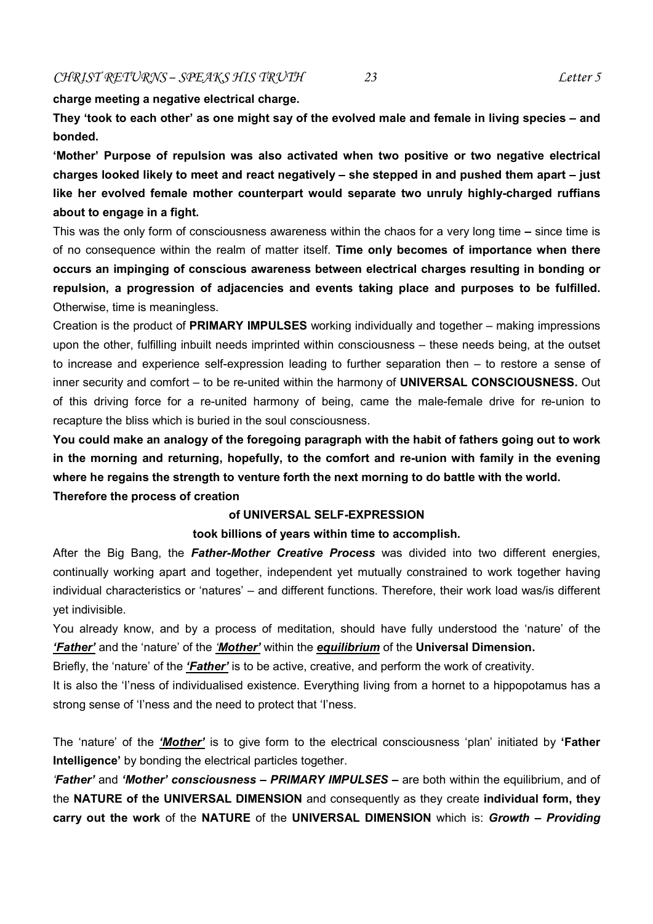## *CHRIST RETURNS* – *SPEAKS HIS TRUTH 23 Letter 5*

**charge meeting a negative electrical charge.** 

**They 'took to each other' as one might say of the evolved male and female in living species – and bonded.** 

**'Mother' Purpose of repulsion was also activated when two positive or two negative electrical charges looked likely to meet and react negatively – she stepped in and pushed them apart – just like her evolved female mother counterpart would separate two unruly highly-charged ruffians about to engage in a fight.** 

This was the only form of consciousness awareness within the chaos for a very long time **–** since time is of no consequence within the realm of matter itself. **Time only becomes of importance when there occurs an impinging of conscious awareness between electrical charges resulting in bonding or repulsion, a progression of adjacencies and events taking place and purposes to be fulfilled.**  Otherwise, time is meaningless.

Creation is the product of **PRIMARY IMPULSES** working individually and together – making impressions upon the other, fulfilling inbuilt needs imprinted within consciousness – these needs being, at the outset to increase and experience self-expression leading to further separation then – to restore a sense of inner security and comfort – to be re-united within the harmony of **UNIVERSAL CONSCIOUSNESS.** Out of this driving force for a re-united harmony of being, came the male-female drive for re-union to recapture the bliss which is buried in the soul consciousness.

**You could make an analogy of the foregoing paragraph with the habit of fathers going out to work in the morning and returning, hopefully, to the comfort and re-union with family in the evening where he regains the strength to venture forth the next morning to do battle with the world. Therefore the process of creation** 

### **of UNIVERSAL SELF-EXPRESSION**

### **took billions of years within time to accomplish.**

After the Big Bang, the *Father-Mother Creative Process* was divided into two different energies, continually working apart and together, independent yet mutually constrained to work together having individual characteristics or 'natures' – and different functions. Therefore, their work load was/is different yet indivisible.

You already know, and by a process of meditation, should have fully understood the 'nature' of the *'Father'* and the 'nature' of the *'Mother'* within the *equilibrium* of the **Universal Dimension.**

Briefly, the 'nature' of the *'Father'* is to be active, creative, and perform the work of creativity.

It is also the 'I'ness of individualised existence. Everything living from a hornet to a hippopotamus has a strong sense of 'I'ness and the need to protect that 'I'ness.

The 'nature' of the *'Mother'* is to give form to the electrical consciousness 'plan' initiated by **'Father Intelligence'** by bonding the electrical particles together.

*'Father'* and *'Mother' consciousness – PRIMARY IMPULSES –* are both within the equilibrium, and of the **NATURE of the UNIVERSAL DIMENSION** and consequently as they create **individual form, they carry out the work** of the **NATURE** of the **UNIVERSAL DIMENSION** which is: *Growth – Providing*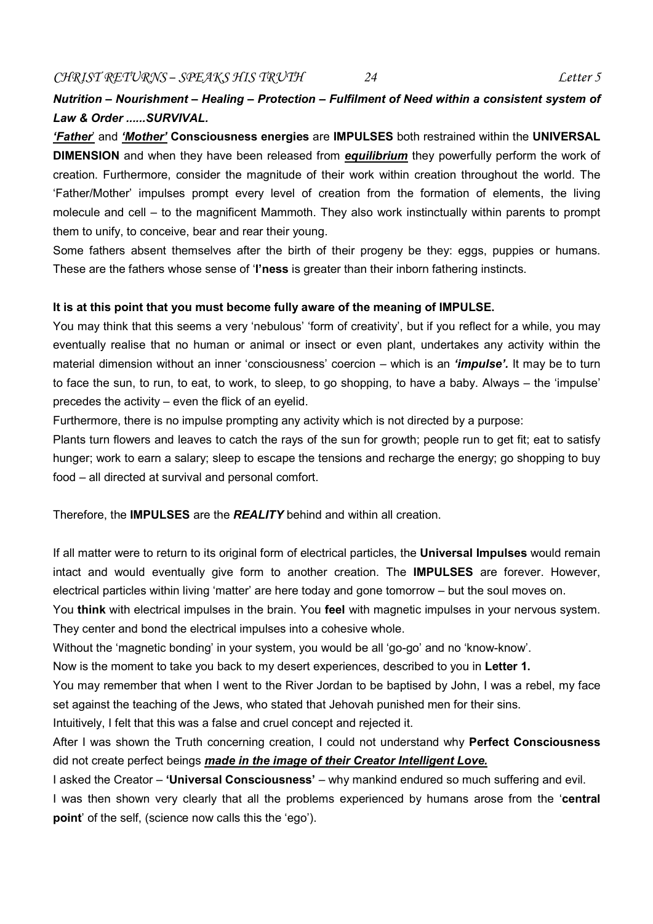# *Nutrition – Nourishment – Healing – Protection* **–** *Fulfilment of Need within a consistent system of Law & Order ......SURVIVAL.*

*'Father*' and *'Mother'* **Consciousness energies** are **IMPULSES** both restrained within the **UNIVERSAL DIMENSION** and when they have been released from *equilibrium* they powerfully perform the work of creation. Furthermore, consider the magnitude of their work within creation throughout the world. The 'Father/Mother' impulses prompt every level of creation from the formation of elements, the living molecule and cell – to the magnificent Mammoth. They also work instinctually within parents to prompt them to unify, to conceive, bear and rear their young.

Some fathers absent themselves after the birth of their progeny be they: eggs, puppies or humans. These are the fathers whose sense of '**I'ness** is greater than their inborn fathering instincts.

### **It is at this point that you must become fully aware of the meaning of IMPULSE.**

You may think that this seems a very 'nebulous' 'form of creativity', but if you reflect for a while, you may eventually realise that no human or animal or insect or even plant, undertakes any activity within the material dimension without an inner 'consciousness' coercion – which is an *'impulse'.* It may be to turn to face the sun, to run, to eat, to work, to sleep, to go shopping, to have a baby. Always – the 'impulse' precedes the activity – even the flick of an eyelid.

Furthermore, there is no impulse prompting any activity which is not directed by a purpose:

Plants turn flowers and leaves to catch the rays of the sun for growth; people run to get fit; eat to satisfy hunger; work to earn a salary; sleep to escape the tensions and recharge the energy; go shopping to buy food – all directed at survival and personal comfort.

Therefore, the **IMPULSES** are the *REALITY* behind and within all creation.

If all matter were to return to its original form of electrical particles, the **Universal Impulses** would remain intact and would eventually give form to another creation. The **IMPULSES** are forever. However, electrical particles within living 'matter' are here today and gone tomorrow – but the soul moves on.

You **think** with electrical impulses in the brain. You **feel** with magnetic impulses in your nervous system. They center and bond the electrical impulses into a cohesive whole.

Without the 'magnetic bonding' in your system, you would be all 'go-go' and no 'know-know'.

Now is the moment to take you back to my desert experiences, described to you in **Letter 1.** 

You may remember that when I went to the River Jordan to be baptised by John, I was a rebel, my face set against the teaching of the Jews, who stated that Jehovah punished men for their sins.

Intuitively, I felt that this was a false and cruel concept and rejected it.

After I was shown the Truth concerning creation, I could not understand why **Perfect Consciousness**  did not create perfect beings *made in the image of their Creator Intelligent Love.*

I asked the Creator – **'Universal Consciousness'** – why mankind endured so much suffering and evil.

I was then shown very clearly that all the problems experienced by humans arose from the '**central point**' of the self, (science now calls this the 'ego').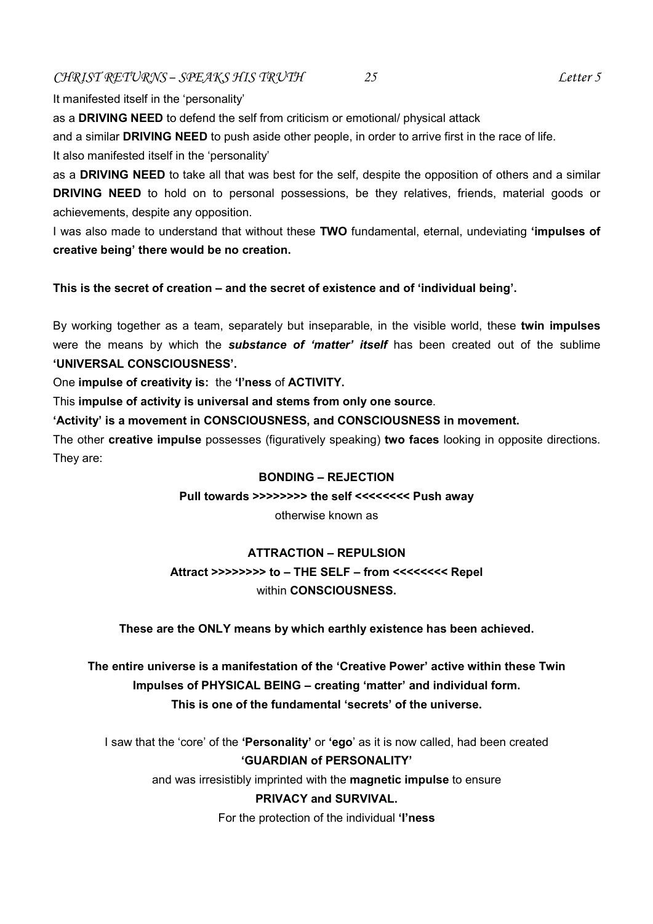# *CHRIST RETURNS* – *SPEAKS HIS TRUTH 25 Letter 5*

It manifested itself in the 'personality'

as a **DRIVING NEED** to defend the self from criticism or emotional/ physical attack

and a similar **DRIVING NEED** to push aside other people, in order to arrive first in the race of life.

It also manifested itself in the 'personality'

as a **DRIVING NEED** to take all that was best for the self, despite the opposition of others and a similar **DRIVING NEED** to hold on to personal possessions, be they relatives, friends, material goods or achievements, despite any opposition.

I was also made to understand that without these **TWO** fundamental, eternal, undeviating **'impulses of creative being' there would be no creation.** 

# **This is the secret of creation – and the secret of existence and of 'individual being'.**

By working together as a team, separately but inseparable, in the visible world, these **twin impulses**  were the means by which the *substance of 'matter' itself* has been created out of the sublime **'UNIVERSAL CONSCIOUSNESS'.** 

One **impulse of creativity is:** the **'I'ness** of **ACTIVITY.** 

This **impulse of activity is universal and stems from only one source**.

**'Activity' is a movement in CONSCIOUSNESS, and CONSCIOUSNESS in movement.** 

The other **creative impulse** possesses (figuratively speaking) **two faces** looking in opposite directions. They are:

# **BONDING – REJECTION**

### **Pull towards >>>>>>>> the self <<<<<<<< Push away**

otherwise known as

# **ATTRACTION – REPULSION**

**Attract >>>>>>>> to – THE SELF – from <<<<<<<< Repel**  within **CONSCIOUSNESS.** 

**These are the ONLY means by which earthly existence has been achieved.** 

# **The entire universe is a manifestation of the 'Creative Power' active within these Twin Impulses of PHYSICAL BEING – creating 'matter' and individual form. This is one of the fundamental 'secrets' of the universe.**

I saw that the 'core' of the **'Personality'** or **'ego**' as it is now called, had been created **'GUARDIAN of PERSONALITY'** 

and was irresistibly imprinted with the **magnetic impulse** to ensure

# **PRIVACY and SURVIVAL.**

For the protection of the individual **'I'ness**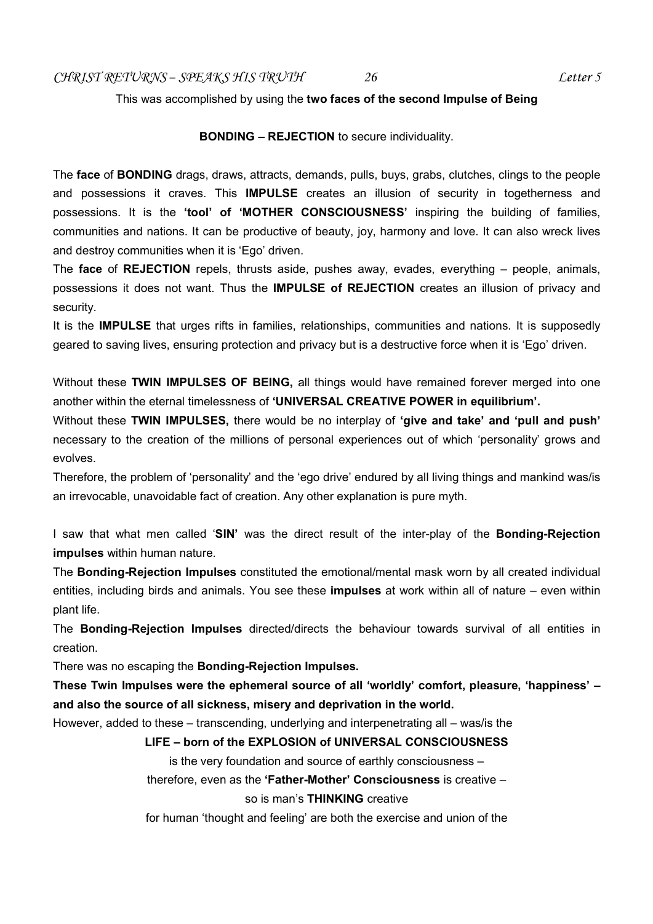#### This was accomplished by using the **two faces of the second Impulse of Being**

#### **BONDING – REJECTION** to secure individuality.

The **face** of **BONDING** drags, draws, attracts, demands, pulls, buys, grabs, clutches, clings to the people and possessions it craves. This **IMPULSE** creates an illusion of security in togetherness and possessions. It is the **'tool' of 'MOTHER CONSCIOUSNESS'** inspiring the building of families, communities and nations. It can be productive of beauty, joy, harmony and love. It can also wreck lives and destroy communities when it is 'Ego' driven.

The **face** of **REJECTION** repels, thrusts aside, pushes away, evades, everything – people, animals, possessions it does not want. Thus the **IMPULSE of REJECTION** creates an illusion of privacy and security.

It is the **IMPULSE** that urges rifts in families, relationships, communities and nations. It is supposedly geared to saving lives, ensuring protection and privacy but is a destructive force when it is 'Ego' driven.

Without these **TWIN IMPULSES OF BEING,** all things would have remained forever merged into one another within the eternal timelessness of **'UNIVERSAL CREATIVE POWER in equilibrium'.**

Without these **TWIN IMPULSES,** there would be no interplay of **'give and take' and 'pull and push'**  necessary to the creation of the millions of personal experiences out of which 'personality' grows and evolves.

Therefore, the problem of 'personality' and the 'ego drive' endured by all living things and mankind was/is an irrevocable, unavoidable fact of creation. Any other explanation is pure myth.

I saw that what men called '**SIN'** was the direct result of the inter-play of the **Bonding-Rejection impulses** within human nature.

The **Bonding-Rejection Impulses** constituted the emotional/mental mask worn by all created individual entities, including birds and animals. You see these **impulses** at work within all of nature – even within plant life.

The **Bonding-Rejection Impulses** directed/directs the behaviour towards survival of all entities in creation.

There was no escaping the **Bonding-Rejection Impulses.** 

**These Twin Impulses were the ephemeral source of all 'worldly' comfort, pleasure, 'happiness' – and also the source of all sickness, misery and deprivation in the world.** 

However, added to these – transcending, underlying and interpenetrating all – was/is the

### **LIFE – born of the EXPLOSION of UNIVERSAL CONSCIOUSNESS**

is the very foundation and source of earthly consciousness –

therefore, even as the **'Father-Mother' Consciousness** is creative –

### so is man's **THINKING** creative

for human 'thought and feeling' are both the exercise and union of the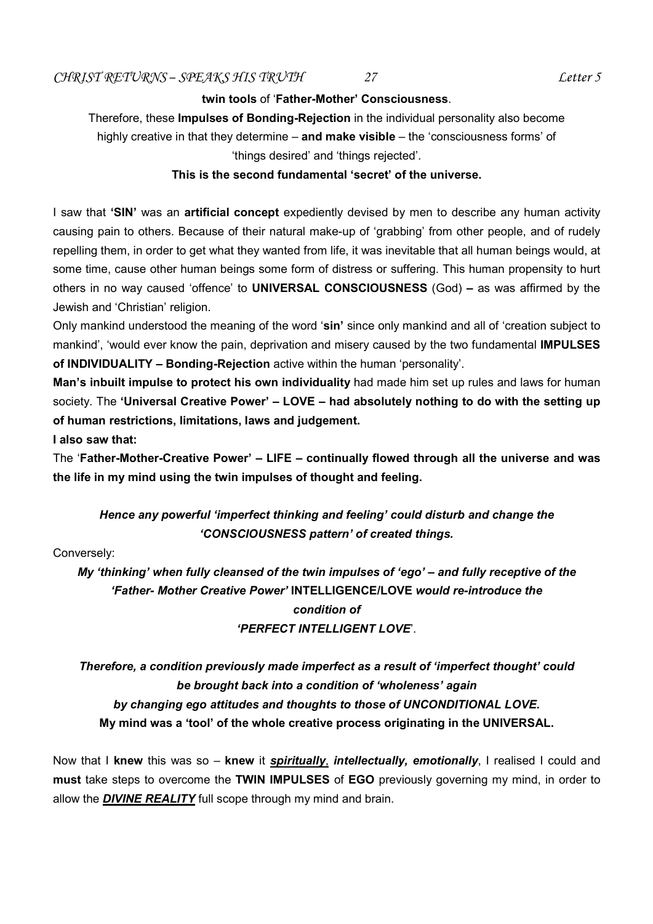### **twin tools** of '**Father-Mother' Consciousness**.

Therefore, these **Impulses of Bonding-Rejection** in the individual personality also become highly creative in that they determine – **and make visible** – the 'consciousness forms' of 'things desired' and 'things rejected'.

## **This is the second fundamental 'secret' of the universe.**

I saw that **'SIN'** was an **artificial concept** expediently devised by men to describe any human activity causing pain to others. Because of their natural make-up of 'grabbing' from other people, and of rudely repelling them, in order to get what they wanted from life, it was inevitable that all human beings would, at some time, cause other human beings some form of distress or suffering. This human propensity to hurt others in no way caused 'offence' to **UNIVERSAL CONSCIOUSNESS** (God) **–** as was affirmed by the Jewish and 'Christian' religion.

Only mankind understood the meaning of the word '**sin'** since only mankind and all of 'creation subject to mankind', 'would ever know the pain, deprivation and misery caused by the two fundamental **IMPULSES of INDIVIDUALITY – Bonding-Rejection** active within the human 'personality'.

**Man's inbuilt impulse to protect his own individuality** had made him set up rules and laws for human society. The **'Universal Creative Power' – LOVE – had absolutely nothing to do with the setting up of human restrictions, limitations, laws and judgement.**

**I also saw that:** 

The '**Father-Mother-Creative Power' – LIFE – continually flowed through all the universe and was the life in my mind using the twin impulses of thought and feeling.** 

# *Hence any powerful 'imperfect thinking and feeling' could disturb and change the 'CONSCIOUSNESS pattern' of created things.*

### Conversely:

*My 'thinking' when fully cleansed of the twin impulses of 'ego' – and fully receptive of the 'Father- Mother Creative Power'* **INTELLIGENCE/LOVE** *would re-introduce the condition of 'PERFECT INTELLIGENT LOVE*'.

*Therefore, a condition previously made imperfect as a result of 'imperfect thought' could be brought back into a condition of 'wholeness' again by changing ego attitudes and thoughts to those of UNCONDITIONAL LOVE.*  **My mind was a 'tool' of the whole creative process originating in the UNIVERSAL.** 

Now that I **knew** this was so – **knew** it *spiritually*, *intellectually, emotionally*, I realised I could and **must** take steps to overcome the **TWIN IMPULSES** of **EGO** previously governing my mind, in order to allow the *DIVINE REALITY* full scope through my mind and brain.